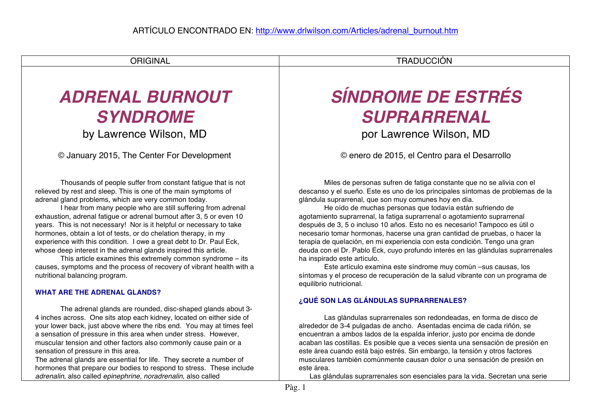ORIGINAL **INTERNATIONAL ESTADO EN EL ENTREGADO DE EL ENTRADUCCIÓN** 

# *ADRENAL BURNOUT SYNDROME*

by Lawrence Wilson, MD

© January 2015, The Center For Development

Thousands of people suffer from constant fatigue that is not relieved by rest and sleep. This is one of the main symptoms of adrenal gland problems, which are very common today.

I hear from many people who are still suffering from adrenal exhaustion, adrenal fatigue or adrenal burnout after 3, 5 or even 10 years. This is not necessary! Nor is it helpful or necessary to take hormones, obtain a lot of tests, or do chelation therapy, in my experience with this condition. I owe a great debt to Dr. Paul Eck, whose deep interest in the adrenal glands inspired this article.

This article examines this extremely common syndrome – its causes, symptoms and the process of recovery of vibrant health with a nutritional balancing program.

## **WHAT ARE THE ADRENAL GLANDS?**

The adrenal glands are rounded, disc-shaped glands about 3- 4 inches across. One sits atop each kidney, located on either side of your lower back, just above where the ribs end. You may at times feel a sensation of pressure in this area when under stress. However, muscular tension and other factors also commonly cause pain or a sensation of pressure in this area.

The adrenal glands are essential for life. They secrete a number of hormones that prepare our bodies to respond to stress. These include *adrenalin*, also called *epinephrine, noradrenalin*, also called

## *SÍNDROME DE ESTRÉS SUPRARRENAL*

por Lawrence Wilson, MD

© enero de 2015, el Centro para el Desarrollo

Miles de personas sufren de fatiga constante que no se alivia con el descanso y el sueño. Este es uno de los principales síntomas de problemas de la glándula suprarrenal, que son muy comunes hoy en día.

He oído de muchas personas que todavía están sufriendo de agotamiento suprarrenal, la fatiga suprarrenal o agotamiento suprarrenal después de 3, 5 o incluso 10 años. Esto no es necesario! Tampoco es útil o necesario tomar hormonas, hacerse una gran cantidad de pruebas, o hacer la terapia de quelación, en mi experiencia con esta condición. Tengo una gran deuda con el Dr. Pablo Eck, cuyo profundo interés en las glándulas suprarrenales ha inspirado este artículo.

Este artículo examina este síndrome muy común –sus causas, los síntomas y el proceso de recuperación de la salud vibrante con un programa de equilibrio nutricional.

## **¿QUÉ SON LAS GLÁNDULAS SUPRARRENALES?**

Las glándulas suprarrenales son redondeadas, en forma de disco de alrededor de 3-4 pulgadas de ancho. Asentadas encima de cada riñón, se encuentran a ambos lados de la espalda inferior, justo por encima de donde acaban las costillas. Es posible que a veces sienta una sensación de presión en este área cuando está bajo estrés. Sin embargo, la tensión y otros factores musculares también comúnmente causan dolor o una sensación de presión en este área.

Las glándulas suprarrenales son esenciales para la vida. Secretan una serie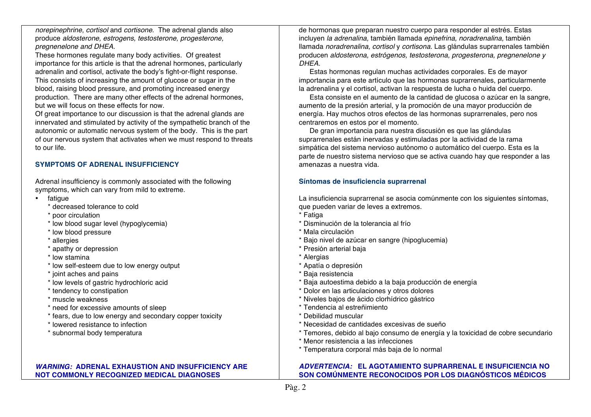*norepinephrine*, *cortisol* and *cortisone*. The adrenal glands also produce *aldosterone, estrogens, testosterone, progesterone, pregnenelone and DHEA*.

These hormones regulate many body activities. Of greatest importance for this article is that the adrenal hormones, particularly adrenalin and cortisol, activate the body's fight-or-flight response. This consists of increasing the amount of glucose or sugar in the blood, raising blood pressure, and promoting increased energy production. There are many other effects of the adrenal hormones, but we will focus on these effects for now.

Of great importance to our discussion is that the adrenal glands are innervated and stimulated by activity of the sympathetic branch of the autonomic or automatic nervous system of the body. This is the part of our nervous system that activates when we must respond to threats to our life.

#### **SYMPTOMS OF ADRENAL INSUFFICIENCY**

Adrenal insufficiency is commonly associated with the following symptoms, which can vary from mild to extreme.

- fatigue
	- \* decreased tolerance to cold
	- \* poor circulation
	- \* low blood sugar level (hypoglycemia)
	- \* low blood pressure
	- \* allergies
	- \* apathy or depression
	- \* low stamina
	- \* low self-esteem due to low energy output
	- \* joint aches and pains
	- \* low levels of gastric hydrochloric acid
	- \* tendency to constipation
	- \* muscle weakness
	- \* need for excessive amounts of sleep
	- \* fears, due to low energy and secondary copper toxicity
	- \* lowered resistance to infection
	- \* subnormal body temperatura

#### *WARNING:* **ADRENAL EXHAUSTION AND INSUFFICIENCY ARE NOT COMMONLY RECOGNIZED MEDICAL DIAGNOSES**

de hormonas que preparan nuestro cuerpo para responder al estrés. Estas incluyen *la adrenalina,* también llamada *epinefrina, noradrenalina,* también llamada *noradrenalina, cortisol* y *cortisona.* Las glándulas suprarrenales también producen *aldosterona, estrógenos, testosterona, progesterona, pregnenelone y DHEA.*

Estas hormonas regulan muchas actividades corporales. Es de mayor importancia para este artículo que las hormonas suprarrenales, particularmente la adrenalina y el cortisol, activan la respuesta de lucha o huida del cuerpo.

Esta consiste en el aumento de la cantidad de glucosa o azúcar en la sangre, aumento de la presión arterial, y la promoción de una mayor producción de energía. Hay muchos otros efectos de las hormonas suprarrenales, pero nos centraremos en estos por el momento.

De gran importancia para nuestra discusión es que las glándulas suprarrenales están inervadas y estimuladas por la actividad de la rama simpática del sistema nervioso autónomo o automático del cuerpo. Esta es la parte de nuestro sistema nervioso que se activa cuando hay que responder a las amenazas a nuestra vida.

#### **Síntomas de insuficiencia suprarrenal**

La insuficiencia suprarrenal se asocia comúnmente con los siguientes síntomas, que pueden variar de leves a extremos.

- \* Fatiga \* Disminución de la tolerancia al frío \* Mala circulación \* Bajo nivel de azúcar en sangre (hipoglucemia) \* Presión arterial baja \* Alergias \* Apatía o depresión \* Baja resistencia \* Baja autoestima debido a la baja producción de energía \* Dolor en las articulaciones y otros dolores \* Niveles bajos de ácido clorhídrico gástrico
- \* Tendencia al estreñimiento
- \* Debilidad muscular
- \* Necesidad de cantidades excesivas de sueño
- \* Temores, debido al bajo consumo de energía y la toxicidad de cobre secundario
- \* Menor resistencia a las infecciones
- \* Temperatura corporal más baja de lo normal

## *ADVERTENCIA:* **EL AGOTAMIENTO SUPRARRENAL E INSUFICIENCIA NO SON COMÚNMENTE RECONOCIDOS POR LOS DIAGNÓSTICOS MÉDICOS**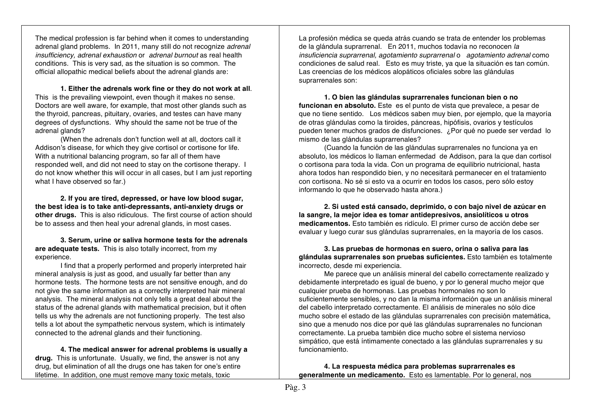The medical profession is far behind when it comes to understanding adrenal gland problems. In 2011, many still do not recognize *adrenal insufficiency, adrenal exhaustion* or *adrenal burnout* as real health conditions. This is very sad, as the situation is so common. The official allopathic medical beliefs about the adrenal glands are:

**1. Either the adrenals work fine or they do not work at all**. This is the prevailing viewpoint, even though it makes no sense. Doctors are well aware, for example, that most other glands such as the thyroid, pancreas, pituitary, ovaries, and testes can have many degrees of dysfunctions. Why should the same not be true of the adrenal glands?

(When the adrenals don't function well at all, doctors call it Addison's disease, for which they give cortisol or cortisone for life. With a nutritional balancing program, so far all of them have responded well, and did not need to stay on the cortisone therapy. I do not know whether this will occur in all cases, but I am just reporting what I have observed so far.)

**2. If you are tired, depressed, or have low blood sugar, the best idea is to take anti-depressants, anti-anxiety drugs or other drugs.** This is also ridiculous. The first course of action should be to assess and then heal your adrenal glands, in most cases.

**3. Serum, urine or saliva hormone tests for the adrenals are adequate tests.** This is also totally incorrect, from my experience.

I find that a properly performed and properly interpreted hair mineral analysis is just as good, and usually far better than any hormone tests. The hormone tests are not sensitive enough, and do not give the same information as a correctly interpreted hair mineral analysis. The mineral analysis not only tells a great deal about the status of the adrenal glands with mathematical precision, but it often tells us why the adrenals are not functioning properly. The test also tells a lot about the sympathetic nervous system, which is intimately connected to the adrenal glands and their functioning.

**4. The medical answer for adrenal problems is usually a drug.** This is unfortunate. Usually, we find, the answer is not any drug, but elimination of all the drugs one has taken for one's entire lifetime. In addition, one must remove many toxic metals, toxic

La profesión médica se queda atrás cuando se trata de entender los problemas de la glándula suprarrenal. En 2011, muchos todavía no reconocen *la insuficiencia suprarrenal, agotamiento suprarrenal* o *agotamiento adrenal* como condiciones de salud real. Esto es muy triste, ya que la situación es tan común. Las creencias de los médicos alopáticos oficiales sobre las glándulas suprarrenales son:

**1. O bien las glándulas suprarrenales funcionan bien o no funcionan en absoluto.** Este es el punto de vista que prevalece, a pesar de que no tiene sentido. Los médicos saben muy bien, por ejemplo, que la mayoría de otras glándulas como la tiroides, páncreas, hipófisis, ovarios y testículos pueden tener muchos grados de disfunciones. ¿Por qué no puede ser verdad lo mismo de las glándulas suprarrenales?

(Cuando la función de las glándulas suprarrenales no funciona ya en absoluto, los médicos lo llaman enfermedad de Addison, para la que dan cortisol o cortisona para toda la vida. Con un programa de equilibrio nutricional, hasta ahora todos han respondido bien, y no necesitará permanecer en el tratamiento con cortisona. No sé si esto va a ocurrir en todos los casos, pero sólo estoy informando lo que he observado hasta ahora.)

**2. Si usted está cansado, deprimido, o con bajo nivel de azúcar en la sangre, la mejor idea es tomar antidepresivos, ansiolíticos u otros medicamentos.** Esto también es ridículo. El primer curso de acción debe ser evaluar y luego curar sus glándulas suprarrenales, en la mayoría de los casos.

**3. Las pruebas de hormonas en suero, orina o saliva para las glándulas suprarrenales son pruebas suficientes.** Esto también es totalmente incorrecto, desde mi experiencia.

Me parece que un análisis mineral del cabello correctamente realizado y debidamente interpretado es igual de bueno, y por lo general mucho mejor que cualquier prueba de hormonas. Las pruebas hormonales no son lo suficientemente sensibles, y no dan la misma información que un análisis mineral del cabello interpretado correctamente. El análisis de minerales no sólo dice mucho sobre el estado de las glándulas suprarrenales con precisión matemática, sino que a menudo nos dice por qué las glándulas suprarrenales no funcionan correctamente. La prueba también dice mucho sobre el sistema nervioso simpático, que está íntimamente conectado a las glándulas suprarrenales y su funcionamiento.

**4. La respuesta médica para problemas suprarrenales es generalmente un medicamento.** Esto es lamentable. Por lo general, nos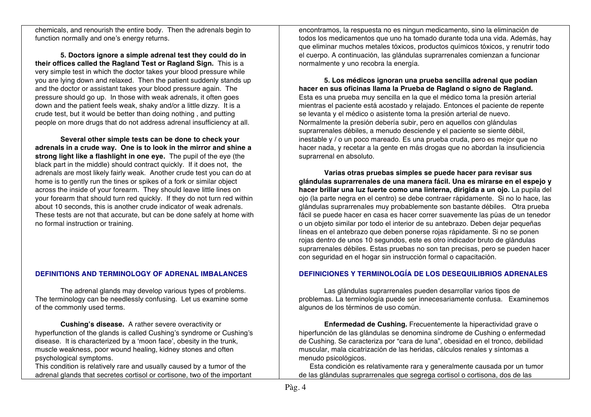chemicals, and renourish the entire body. Then the adrenals begin to function normally and one's energy returns.

**5. Doctors ignore a simple adrenal test they could do in their offices called the Ragland Test or Ragland Sign.** This is a very simple test in which the doctor takes your blood pressure while you are lying down and relaxed. Then the patient suddenly stands up and the doctor or assistant takes your blood pressure again. The pressure should go up. In those with weak adrenals, it often goes down and the patient feels weak, shaky and/or a little dizzy. It is a crude test, but it would be better than doing nothing , and putting people on more drugs that do not address adrenal insufficiency at all.

**Several other simple tests can be done to check your adrenals in a crude way. One is to look in the mirror and shine a strong light like a flashlight in one eye.** The pupil of the eye (the black part in the middle) should contract quickly. If it does not, the adrenals are most likely fairly weak. Another crude test you can do at home is to gently run the tines or spikes of a fork or similar object across the inside of your forearm. They should leave little lines on your forearm that should turn red quickly. If they do not turn red within about 10 seconds, this is another crude indicator of weak adrenals. These tests are not that accurate, but can be done safely at home with no formal instruction or training.

#### **DEFINITIONS AND TERMINOLOGY OF ADRENAL IMBALANCES**

The adrenal glands may develop various types of problems. The terminology can be needlessly confusing. Let us examine some of the commonly used terms.

**Cushing's disease.** A rather severe overactivity or hyperfunction of the glands is called Cushing's syndrome or Cushing's disease. It is characterized by a 'moon face', obesity in the trunk, muscle weakness, poor wound healing, kidney stones and often psychological symptoms.

This condition is relatively rare and usually caused by a tumor of the adrenal glands that secretes cortisol or cortisone, two of the important

encontramos, la respuesta no es ningun medicamento, sino la eliminación de todos los medicamentos que uno ha tomado durante toda una vida. Además, hay que eliminar muchos metales tóxicos, productos químicos tóxicos, y renutrir todo el cuerpo. A continuación, las glándulas suprarrenales comienzan a funcionar normalmente y uno recobra la energía.

**5. Los médicos ignoran una prueba sencilla adrenal que podían hacer en sus oficinas llama la Prueba de Ragland o signo de Ragland.** Esta es una prueba muy sencilla en la que el médico toma la presión arterial mientras el paciente está acostado y relajado. Entonces el paciente de repente se levanta y el médico o asistente toma la presión arterial de nuevo. Normalmente la presión debería subir, pero en aquellos con glándulas suprarrenales débiles, a menudo desciende y el paciente se siente débil, inestable y / o un poco mareado. Es una prueba cruda, pero es mejor que no hacer nada, y recetar a la gente en más drogas que no abordan la insuficiencia suprarrenal en absoluto.

**Varias otras pruebas simples se puede hacer para revisar sus glándulas suprarrenales de una manera fácil. Una es mirarse en el espejo y hacer brillar una luz fuerte como una linterna, dirigida a un ojo.** La pupila del ojo (la parte negra en el centro) se debe contraer rápidamente. Si no lo hace, las glándulas suprarrenales muy probablemente son bastante débiles. Otra prueba fácil se puede hacer en casa es hacer correr suavemente las púas de un tenedor o un objeto similar por todo el interior de su antebrazo. Deben dejar pequeñas líneas en el antebrazo que deben ponerse rojas rápidamente. Si no se ponen rojas dentro de unos 10 segundos, este es otro indicador bruto de glándulas suprarrenales débiles. Estas pruebas no son tan precisas, pero se pueden hacer con seguridad en el hogar sin instrucción formal o capacitación.

## **DEFINICIONES Y TERMINOLOGÍA DE LOS DESEQUILIBRIOS ADRENALES**

Las glándulas suprarrenales pueden desarrollar varios tipos de problemas. La terminología puede ser innecesariamente confusa. Examinemos algunos de los términos de uso común.

**Enfermedad de Cushing.** Frecuentemente la hiperactividad grave o hiperfunción de las glándulas se denomina síndrome de Cushing o enfermedad de Cushing. Se caracteriza por "cara de luna", obesidad en el tronco, debilidad muscular, mala cicatrización de las heridas, cálculos renales y síntomas a menudo psicológicos.

Esta condición es relativamente rara y generalmente causada por un tumor de las glándulas suprarrenales que segrega cortisol o cortisona, dos de las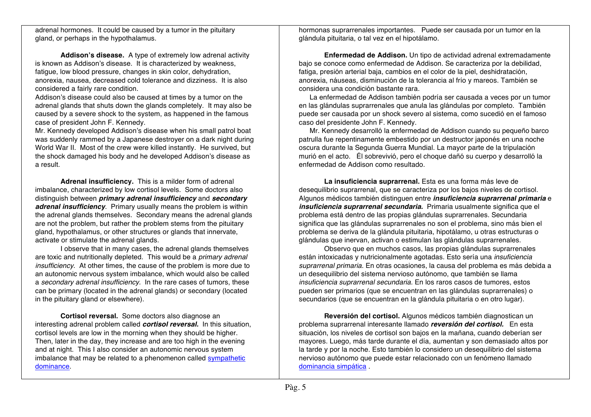adrenal hormones. It could be caused by a tumor in the pituitary gland, or perhaps in the hypothalamus.

**Addison's disease.** A type of extremely low adrenal activity is known as Addison's disease. It is characterized by weakness, fatigue, low blood pressure, changes in skin color, dehydration, anorexia, nausea, decreased cold tolerance and dizziness. It is also considered a fairly rare condition.

Addison's disease could also be caused at times by a tumor on the adrenal glands that shuts down the glands completely. It may also be caused by a severe shock to the system, as happened in the famous case of president John F. Kennedy.

Mr. Kennedy developed Addison's disease when his small patrol boat was suddenly rammed by a Japanese destroyer on a dark night during World War II. Most of the crew were killed instantly. He survived, but the shock damaged his body and he developed Addison's disease as a result.

**Adrenal insufficiency.** This is a milder form of adrenal imbalance, characterized by low cortisol levels. Some doctors also distinguish between *primary adrenal insufficiency* and *secondary adrenal insufficiency*. Primary usually means the problem is within the adrenal glands themselves. Secondary means the adrenal glands are not the problem, but rather the problem stems from the pituitary gland, hypothalamus, or other structures or glands that innervate, activate or stimulate the adrenal glands.

I observe that in many cases, the adrenal glands themselves are toxic and nutritionally depleted. This would be a *primary adrenal insufficiency*. At other times, the cause of the problem is more due to an autonomic nervous system imbalance, which would also be called a *secondary adrenal insufficiency*. In the rare cases of tumors, these can be primary (located in the adrenal glands) or secondary (located in the pituitary gland or elsewhere).

**Cortisol reversal.** Some doctors also diagnose an interesting adrenal problem called *cortisol reversal.* In this situation, cortisol levels are low in the morning when they should be higher. Then, later in the day, they increase and are too high in the evening and at night. This I also consider an autonomic nervous system imbalance that may be related to a phenomenon called sympathetic dominance.

hormonas suprarrenales importantes. Puede ser causada por un tumor en la glándula pituitaria, o tal vez en el hipotálamo.

**Enfermedad de Addison.** Un tipo de actividad adrenal extremadamente bajo se conoce como enfermedad de Addison. Se caracteriza por la debilidad, fatiga, presión arterial baja, cambios en el color de la piel, deshidratación, anorexia, náuseas, disminución de la tolerancia al frío y mareos. También se considera una condición bastante rara.

La enfermedad de Addison también podría ser causada a veces por un tumor en las glándulas suprarrenales que anula las glándulas por completo. También puede ser causada por un shock severo al sistema, como sucedió en el famoso caso del presidente John F. Kennedy.

Mr. Kennedy desarrolló la enfermedad de Addison cuando su pequeño barco patrulla fue repentinamente embestido por un destructor japonés en una noche oscura durante la Segunda Guerra Mundial. La mayor parte de la tripulación murió en el acto. Él sobrevivió, pero el choque dañó su cuerpo y desarrolló la enfermedad de Addison como resultado.

**La insuficiencia suprarrenal.** Esta es una forma más leve de desequilibrio suprarrenal, que se caracteriza por los bajos niveles de cortisol. Algunos médicos también distinguen entre *insuficiencia suprarrenal primaria* e *insuficiencia suprarrenal secundaria.* Primaria usualmente significa que el problema está dentro de las propias glándulas suprarrenales. Secundaria significa que las glándulas suprarrenales no son el problema, sino más bien el problema se deriva de la glándula pituitaria, hipotálamo, u otras estructuras o glándulas que inervan, activan o estimulan las glándulas suprarrenales.

Observo que en muchos casos, las propias glándulas suprarrenales están intoxicadas y nutricionalmente agotadas. Esto sería una *insuficiencia suprarrenal primaria.* En otras ocasiones, la causa del problema es más debida a un desequilibrio del sistema nervioso autónomo, que también se llama *insuficiencia suprarrenal secundaria.* En los raros casos de tumores, estos pueden ser primarios (que se encuentran en las glándulas suprarrenales) o secundarios (que se encuentran en la glándula pituitaria o en otro lugar).

**Reversión del cortisol.** Algunos médicos también diagnostican un problema suprarrenal interesante llamado *reversión del cortisol.* En esta situación, los niveles de cortisol son bajos en la mañana, cuando deberían ser mayores. Luego, más tarde durante el día, aumentan y son demasiado altos por la tarde y por la noche. Esto también lo considero un desequilibrio del sistema nervioso autónomo que puede estar relacionado con un fenómeno llamado dominancia simpática .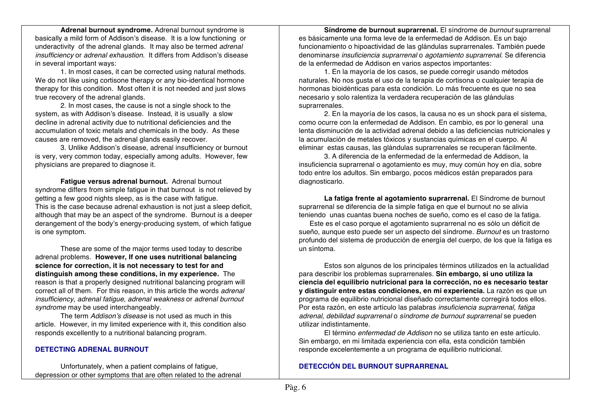**Adrenal burnout syndrome.** Adrenal burnout syndrome is basically a mild form of Addison's disease. It is a low functioning or underactivity of the adrenal glands. It may also be termed *adrenal insufficiency* or *adrenal exhaustion*. It differs from Addison's disease in several important ways:

1. In most cases, it can be corrected using natural methods. We do not like using cortisone therapy or any bio-identical hormone therapy for this condition. Most often it is not needed and just slows true recovery of the adrenal glands.

2. In most cases, the cause is not a single shock to the system, as with Addison's disease. Instead, it is usually a slow decline in adrenal activity due to nutritional deficiencies and the accumulation of toxic metals and chemicals in the body. As these causes are removed, the adrenal glands easily recover.

3. Unlike Addison's disease, adrenal insufficiency or burnout is very, very common today, especially among adults. However, few physicians are prepared to diagnose it.

**Fatigue versus adrenal burnout.** Adrenal burnout syndrome differs from simple fatigue in that burnout is not relieved by getting a few good nights sleep, as is the case with fatigue. This is the case because adrenal exhaustion is not just a sleep deficit, although that may be an aspect of the syndrome. Burnout is a deeper derangement of the body's energy-producing system, of which fatigue is one symptom.

These are some of the major terms used today to describe adrenal problems. **However, If one uses nutritional balancing science for correction, it is not necessary to test for and distinguish among these conditions, in my experience.** The reason is that a properly designed nutritional balancing program will correct all of them. For this reason, in this article the words *adrenal insufficiency, adrenal fatigue, adrenal weakness* or *adrenal burnout syndrome* may be used interchangeably.

The term *Addison's disease* is not used as much in this article. However, in my limited experience with it, this condition also responds excellently to a nutritional balancing program.

#### **DETECTING ADRENAL BURNOUT**

Unfortunately, when a patient complains of fatigue, depression or other symptoms that are often related to the adrenal

**Síndrome de burnout suprarrenal.** El síndrome de *burnout* suprarrenal es básicamente una forma leve de la enfermedad de Addison. Es un bajo funcionamiento o hipoactividad de las glándulas suprarrenales. También puede denominarse *insuficiencia suprarrenal* o *agotamiento suprarrenal.* Se diferencia de la enfermedad de Addison en varios aspectos importantes:

1. En la mayoría de los casos, se puede corregir usando métodos naturales. No nos gusta el uso de la terapia de cortisona o cualquier terapia de hormonas bioidénticas para esta condición. Lo más frecuente es que no sea necesario y solo ralentiza la verdadera recuperación de las glándulas suprarrenales.

2. En la mayoría de los casos, la causa no es un shock para el sistema, como ocurre con la enfermedad de Addison. En cambio, es por lo general una lenta disminución de la actividad adrenal debido a las deficiencias nutricionales y la acumulación de metales tóxicos y sustancias químicas en el cuerpo. Al eliminar estas causas, las glándulas suprarrenales se recuperan fácilmente.

3. A diferencia de la enfermedad de la enfermedad de Addison, la insuficiencia suprarrenal o agotamiento es muy, muy común hoy en día, sobre todo entre los adultos. Sin embargo, pocos médicos están preparados para diagnosticarlo.

**La fatiga frente al agotamiento suprarrenal.** El Síndrome de burnout suprarrenal se diferencia de la simple fatiga en que el burnout no se alivia teniendo unas cuantas buena noches de sueño, como es el caso de la fatiga.

Este es el caso porque el agotamiento suprarrenal no es sólo un déficit de sueño, aunque esto puede ser un aspecto del síndrome. *Burnout* es un trastorno profundo del sistema de producción de energía del cuerpo, de los que la fatiga es un síntoma.

Estos son algunos de los principales términos utilizados en la actualidad para describir los problemas suprarrenales. **Sin embargo, si uno utiliza la ciencia del equilibrio nutricional para la corrección, no es necesario testar y distinguir entre estas condiciones, en mi experiencia.** La razón es que un programa de equilibrio nutricional diseñado correctamente corregirá todos ellos. Por esta razón, en este artículo las palabras *insuficiencia suprarrenal, fatiga adrenal, debilidad suprarrenal* o *síndrome de burnout suprarrenal* se pueden utilizar indistintamente.

El término *enfermedad de Addison* no se utiliza tanto en este artículo. Sin embargo, en mi limitada experiencia con ella, esta condición también responde excelentemente a un programa de equilibrio nutricional.

## **DETECCIÓN DEL BURNOUT SUPRARRENAL**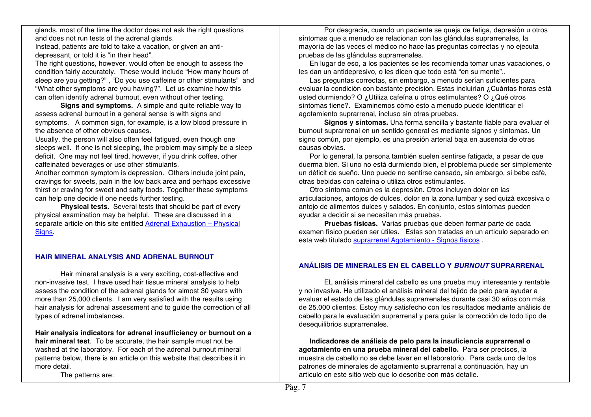glands, most of the time the doctor does not ask the right questions and does not run tests of the adrenal glands. Instead, patients are told to take a vacation, or given an antidepressant, or told it is "in their head".

The right questions, however, would often be enough to assess the condition fairly accurately. These would include "How many hours of sleep are you getting?" , "Do you use caffeine or other stimulants" and "What other symptoms are you having?". Let us examine how this can often identify adrenal burnout, even without other testing.

**Signs and symptoms.** A simple and quite reliable way to assess adrenal burnout in a general sense is with signs and symptoms. A common sign, for example, is a low blood pressure in the absence of other obvious causes.

Usually, the person will also often feel fatigued, even though one sleeps well. If one is not sleeping, the problem may simply be a sleep deficit. One may not feel tired, however, if you drink coffee, other caffeinated beverages or use other stimulants.

Another common symptom is depression. Others include joint pain, cravings for sweets, pain in the low back area and perhaps excessive thirst or craving for sweet and salty foods. Together these symptoms can help one decide if one needs further testing.

**Physical tests.** Several tests that should be part of every physical examination may be helpful. These are discussed in a separate article on this site entitled Adrenal Exhaustion – Physical Signs.

## **HAIR MINERAL ANALYSIS AND ADRENAL BURNOUT**

Hair mineral analysis is a very exciting, cost-effective and non-invasive test. I have used hair tissue mineral analysis to help assess the condition of the adrenal glands for almost 30 years with more than 25,000 clients. I am very satisfied with the results using hair analysis for adrenal assessment and to guide the correction of all types of adrenal imbalances.

**Hair analysis indicators for adrenal insufficiency or burnout on a hair mineral test**. To be accurate, the hair sample must not be washed at the laboratory. For each of the adrenal burnout mineral patterns below, there is an article on this website that describes it in more detail.

The patterns are:

Por desgracia, cuando un paciente se queja de fatiga, depresión u otros síntomas que a menudo se relacionan con las glándulas suprarrenales, la mayoría de las veces el médico no hace las preguntas correctas y no ejecuta pruebas de las glándulas suprarrenales.

En lugar de eso, a los pacientes se les recomienda tomar unas vacaciones, o les dan un antidepresivo, o les dicen que todo está "en su mente"..

Las preguntas correctas, sin embargo, a menudo serían suficientes para evaluar la condición con bastante precisión. Estas incluirían ¿Cuántas horas está usted durmiendo? O ¿Utiliza cafeína u otros estimulantes? O ¿Qué otros síntomas tiene?. Examinemos cómo esto a menudo puede identificar el agotamiento suprarrenal, incluso sin otras pruebas.

**Signos y síntomas.** Una forma sencilla y bastante fiable para evaluar el burnout suprarrenal en un sentido general es mediante signos y síntomas. Un signo común, por ejemplo, es una presión arterial baja en ausencia de otras causas obvias.

Por lo general, la persona también suelen sentirse fatigada, a pesar de que duerma bien. Si uno no está durmiendo bien, el problema puede ser simplemente un déficit de sueño. Uno puede no sentirse cansado, sin embargo, si bebe café, otras bebidas con cafeína o utiliza otros estimulantes.

Otro síntoma común es la depresión. Otros incluyen dolor en las articulaciones, antojos de dulces, dolor en la zona lumbar y sed quizá excesiva o antojo de alimentos dulces y salados. En conjunto, estos síntomas pueden ayudar a decidir si se necesitan más pruebas.

**Pruebas físicas.** Varias pruebas que deben formar parte de cada examen físico pueden ser útiles. Estas son tratadas en un artículo separado en esta web titulado suprarrenal Agotamiento - Signos físicos .

## **ANÁLISIS DE MINERALES EN EL CABELLO Y** *BURNOUT* **SUPRARRENAL**

EL análisis mineral del cabello es una prueba muy interesante y rentable y no invasiva. He utilizado el análisis mineral del tejido de pelo para ayudar a evaluar el estado de las glándulas suprarrenales durante casi 30 años con más de 25.000 clientes. Estoy muy satisfecho con los resultados mediante análisis de cabello para la evaluación suprarrenal y para guiar la corrección de todo tipo de desequilibrios suprarrenales.

**Indicadores de análisis de pelo para la insuficiencia suprarrenal o agotamiento en una prueba mineral del cabello.** Para ser precisos, la muestra de cabello no se debe lavar en el laboratorio. Para cada uno de los patrones de minerales de agotamiento suprarrenal a continuación, hay un artículo en este sitio web que lo describe con más detalle.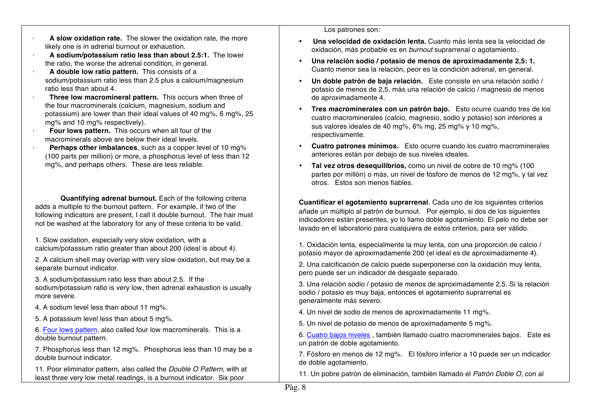- · **A slow oxidation rate.** The slower the oxidation rate, the more likely one is in adrenal burnout or exhaustion.
- · **A sodium/potassium ratio less than about 2.5:1.** The lower the ratio, the worse the adrenal condition, in general.
- · **A double low ratio pattern.** This consists of a sodium/potassium ratio less than 2.5 plus a calcium/magnesium ratio less than about 4.
- · **Three low macromineral pattern.** This occurs when three of the four macrominerals (calcium, magnesium, sodium and potassium) are lower than their ideal values of 40 mg%, 6 mg%, 25 mg% and 10 mg% respectively).
- · **Four lows pattern.** This occurs when all four of the macrominerals above are below their ideal levels.
- · **Perhaps other imbalances**, such as a copper level of 10 mg% (100 parts per million) or more, a phosphorus level of less than 12 mg%, and perhaps others. These are less reliable.

**Quantifying adrenal burnout.** Each of the following criteria adds a multiple to the burnout pattern. For example, if two of the following indicators are present, I call it double burnout. The hair must not be washed at the laboratory for any of these criteria to be valid.

1. Slow oxidation, especially very slow oxidation, with a calcium/potassium ratio greater than about 200 (ideal is about 4).

2. A calcium shell may overlap with very slow oxidation, but may be a separate burnout indicator.

3. A sodium/potassium ratio less than about 2.5. If the sodium/potassium ratio is very low, then adrenal exhaustion is usually more severe.

- 4. A sodium level less than about 11 mg%.
- 5. A potassium level less than about 5 mg%.

6. Four lows pattern, also called four low macrominerals. This is a double burnout pattern.

7. Phosphorus less than 12 mg%. Phosphorus less than 10 may be a double burnout indicator.

11. Poor eliminator pattern, also called the *Double O Pattern*, with at least three very low metal readings, is a burnout indicator. Six poor

Los patrones son:

- **Una velocidad de oxidación lenta.** Cuanto más lenta sea la velocidad de oxidación, más probable es en *burnout* suprarrenal o agotamiento.
- **Una relación sodio / potasio de menos de aproximadamente 2,5: 1.** Cuanto menor sea la relación, peor es la condición adrenal, en general.
- **Un doble patrón de baja relación.** Este consiste en una relación sodio / potasio de menos de 2,5, más una relación de calcio / magnesio de menos de aproximadamente 4.
- **Tres macrominerales con un patrón bajo.** Esto ocurre cuando tres de los cuatro macrominerales (calcio, magnesio, sodio y potasio) son inferiores a sus valores ideales de 40 mg%, 6% mg, 25 mg% y 10 mg%, respectivamente.
- **Cuatro patrones mínimos.** Esto ocurre cuando los cuatro macrominerales anteriores están por debajo de sus niveles ideales.
- **Tal vez otros desequilibrios,** como un nivel de cobre de 10 mg% (100 partes por millón) o más, un nivel de fósforo de menos de 12 mg%, y tal vez otros. Estos son menos fiables.

**Cuantificar el agotamiento suprarrenal**. Cada uno de los siguientes criterios añade un múltiplo al patrón de burnout. Por ejemplo, si dos de los siguientes indicadores están presentes, yo lo llamo doble agotamiento. El pelo no debe ser lavado en el laboratorio para cualquiera de estos criterios, para ser válido.

1. Oxidación lenta, especialmente la muy lenta, con una proporción de calcio / potasio mayor de aproximadamente 200 (el ideal es de aproximadamente 4).

2. Una calcificación de calcio puede superponerse con la oxidación muy lenta, pero puede ser un indicador de desgaste separado.

3. Una relación sodio / potasio de menos de aproximadamente 2,5. Si la relación sodio / potasio es muy baja, entonces el agotamiento suprarrenal es generalmente más severo.

- 4. Un nivel de sodio de menos de aproximadamente 11 mg%.
- 5. Un nivel de potasio de menos de aproximadamente 5 mg%.

6. Cuatro bajos niveles , también llamado cuatro macrominerales bajos. Este es un patrón de doble agotamiento.

7. Fósforo en menos de 12 mg%. El fósforo inferior a 10 puede ser un indicador de doble agotamiento.

11. Un pobre patrón de eliminación, también llamado el *Patrón Doble O,* con al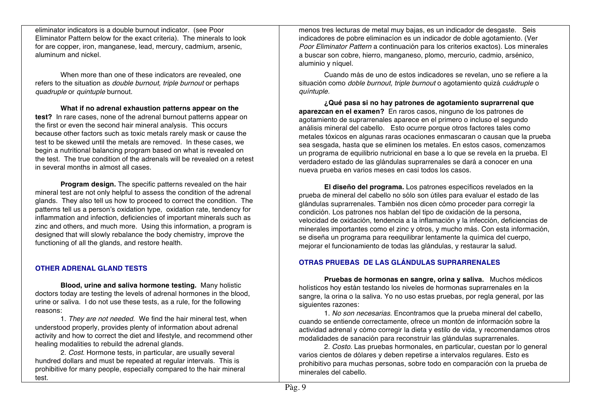eliminator indicators is a double burnout indicator. (see Poor Eliminator Pattern below for the exact criteria). The minerals to look for are copper, iron, manganese, lead, mercury, cadmium, arsenic, aluminum and nickel.

When more than one of these indicators are revealed, one refers to the situation as *double burnout, triple burnout* or perhaps *quadruple* or *quintuple* burnout.

**What if no adrenal exhaustion patterns appear on the test?** In rare cases, none of the adrenal burnout patterns appear on the first or even the second hair mineral analysis. This occurs because other factors such as toxic metals rarely mask or cause the test to be skewed until the metals are removed. In these cases, we begin a nutritional balancing program based on what is revealed on the test. The true condition of the adrenals will be revealed on a retest in several months in almost all cases.

**Program design.** The specific patterns revealed on the hair mineral test are not only helpful to assess the condition of the adrenal glands. They also tell us how to proceed to correct the condition. The patterns tell us a person's oxidation type, oxidation rate, tendency for inflammation and infection, deficiencies of important minerals such as zinc and others, and much more. Using this information, a program is designed that will slowly rebalance the body chemistry, improve the functioning of all the glands, and restore health.

## **OTHER ADRENAL GLAND TESTS**

**Blood, urine and saliva hormone testing.** Many holistic doctors today are testing the levels of adrenal hormones in the blood, urine or saliva. I do not use these tests, as a rule, for the following reasons:

1. *They are not needed.* We find the hair mineral test, when understood properly, provides plenty of information about adrenal activity and how to correct the diet and lifestyle, and recommend other healing modalities to rebuild the adrenal glands.

2. *Cost.* Hormone tests, in particular, are usually several hundred dollars and must be repeated at regular intervals. This is prohibitive for many people, especially compared to the hair mineral test.

menos tres lecturas de metal muy bajas, es un indicador de desgaste. Seis indicadores de pobre eliminacíon es un indicador de doble agotamiento. (Ver *Poor Eliminator Pattern* a continuación para los criterios exactos). Los minerales a buscar son cobre, hierro, manganeso, plomo, mercurio, cadmio, arsénico, aluminio y níquel.

Cuando más de uno de estos indicadores se revelan, uno se refiere a la situación como *doble burnout, triple burnout* o agotamiento quizá *cuádruple* o *quíntuple.*

**¿Qué pasa si no hay patrones de agotamiento suprarrenal que aparezcan en el examen?** En raros casos, ninguno de los patrones de agotamiento de suprarrenales aparece en el primero o incluso el segundo análisis mineral del cabello. Esto ocurre porque otros factores tales como metales tóxicos en algunas raras ocaciones enmascaran o causan que la prueba sea sesgada, hasta que se eliminen los metales. En estos casos, comenzamos un programa de equilibrio nutricional en base a lo que se revela en la prueba. El verdadero estado de las glándulas suprarrenales se dará a conocer en una nueva prueba en varios meses en casi todos los casos.

**El diseño del programa.** Los patrones específicos revelados en la prueba de mineral del cabello no sólo son útiles para evaluar el estado de las glándulas suprarrenales. También nos dicen cómo proceder para corregir la condición. Los patrones nos hablan del tipo de oxidación de la persona, velocidad de oxidación, tendencia a la inflamación y la infección, deficiencias de minerales importantes como el zinc y otros, y mucho más. Con esta información, se diseña un programa para reequilibrar lentamente la química del cuerpo, mejorar el funcionamiento de todas las glándulas, y restaurar la salud.

## **OTRAS PRUEBAS DE LAS GLÁNDULAS SUPRARRENALES**

**Pruebas de hormonas en sangre, orina y saliva.** Muchos médicos holísticos hoy están testando los niveles de hormonas suprarrenales en la sangre, la orina o la saliva. Yo no uso estas pruebas, por regla general, por las siguientes razones:

1. *No son necesarias.* Encontramos que la prueba mineral del cabello, cuando se entiende correctamente, ofrece un montón de información sobre la actividad adrenal y cómo corregir la dieta y estilo de vida, y recomendamos otros modalidades de sanación para reconstruir las glándulas suprarrenales.

2. *Costo.* Las pruebas hormonales, en particular, cuestan por lo general varios cientos de dólares y deben repetirse a intervalos regulares. Esto es prohibitivo para muchas personas, sobre todo en comparación con la prueba de minerales del cabello.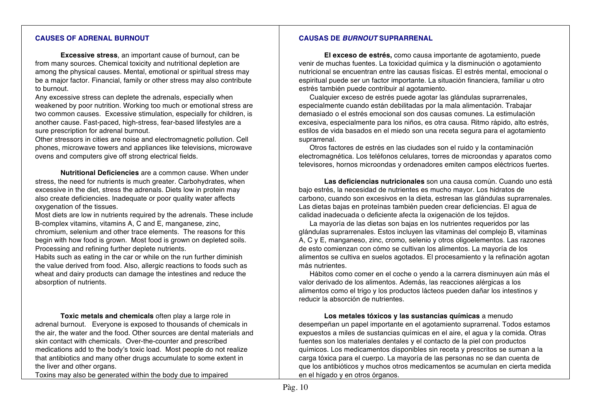#### **CAUSES OF ADRENAL BURNOUT**

**Excessive stress**, an important cause of burnout, can be from many sources. Chemical toxicity and nutritional depletion are among the physical causes. Mental, emotional or spiritual stress may be a major factor. Financial, family or other stress may also contribute to burnout.

Any excessive stress can deplete the adrenals, especially when weakened by poor nutrition. Working too much or emotional stress are two common causes. Excessive stimulation, especially for children, is another cause. Fast-paced, high-stress, fear-based lifestyles are a sure prescription for adrenal burnout.

Other stressors in cities are noise and electromagnetic pollution. Cell phones, microwave towers and appliances like televisions, microwave ovens and computers give off strong electrical fields.

**Nutritional Deficiencies** are a common cause. When under stress, the need for nutrients is much greater. Carbohydrates, when excessive in the diet, stress the adrenals. Diets low in protein may also create deficiencies. Inadequate or poor quality water affects oxygenation of the tissues.

Most diets are low in nutrients required by the adrenals. These include B-complex vitamins, vitamins A, C and E, manganese, zinc, chromium, selenium and other trace elements. The reasons for this begin with how food is grown. Most food is grown on depleted soils. Processing and refining further deplete nutrients.

Habits such as eating in the car or while on the run further diminish the value derived from food. Also, allergic reactions to foods such as wheat and dairy products can damage the intestines and reduce the absorption of nutrients.

**Toxic metals and chemicals** often play a large role in adrenal burnout. Everyone is exposed to thousands of chemicals in the air, the water and the food. Other sources are dental materials and skin contact with chemicals. Over-the-counter and prescribed medications add to the body's toxic load. Most people do not realize that antibiotics and many other drugs accumulate to some extent in the liver and other organs.

Toxins may also be generated within the body due to impaired

#### **CAUSAS DE** *BURNOUT* **SUPRARRENAL**

**El exceso de estrés,** como causa importante de agotamiento, puede venir de muchas fuentes. La toxicidad química y la disminución o agotamiento nutricional se encuentran entre las causas físicas. El estrés mental, emocional o espiritual puede ser un factor importante. La situación financiera, familiar u otro estrés también puede contribuir al agotamiento.

Cualquier exceso de estrés puede agotar las glándulas suprarrenales, especialmente cuando están debilitadas por la mala alimentación. Trabajar demasiado o el estrés emocional son dos causas comunes. La estimulación excesiva, especialmente para los niños, es otra causa. Ritmo rápido, alto estrés, estilos de vida basados en el miedo son una receta segura para el agotamiento suprarrenal.

Otros factores de estrés en las ciudades son el ruido y la contaminación electromagnética. Los teléfonos celulares, torres de microondas y aparatos como televisores, hornos microondas y ordenadores emiten campos eléctricos fuertes.

**Las deficiencias nutricionales** son una causa común. Cuando uno está bajo estrés, la necesidad de nutrientes es mucho mayor. Los hidratos de carbono, cuando son excesivos en la dieta, estresan las glándulas suprarrenales. Las dietas bajas en proteínas también pueden crear deficiencias. El agua de calidad inadecuada o deficiente afecta la oxigenación de los tejidos.

La mayoría de las dietas son bajas en los nutrientes requeridos por las glándulas suprarrenales. Estos incluyen las vitaminas del complejo B, vitaminas A, C y E, manganeso, zinc, cromo, selenio y otros oligoelementos. Las razones de esto comienzan con cómo se cultivan los alimentos. La mayoría de los alimentos se cultiva en suelos agotados. El procesamiento y la refinación agotan más nutrientes.

Hábitos como comer en el coche o yendo a la carrera disminuyen aún más el valor derivado de los alimentos. Además, las reacciones alérgicas a los alimentos como el trigo y los productos lácteos pueden dañar los intestinos y reducir la absorción de nutrientes.

**Los metales tóxicos y las sustancias químicas** a menudo desempeñan un papel importante en el agotamiento suprarrenal. Todos estamos expuestos a miles de sustancias químicas en el aire, el agua y la comida. Otras fuentes son los materiales dentales y el contacto de la piel con productos químicos. Los medicamentos disponibles sin receta y prescritos se suman a la carga tóxica para el cuerpo. La mayoría de las personas no se dan cuenta de que los antibióticos y muchos otros medicamentos se acumulan en cierta medida en el hígado y en otros órganos.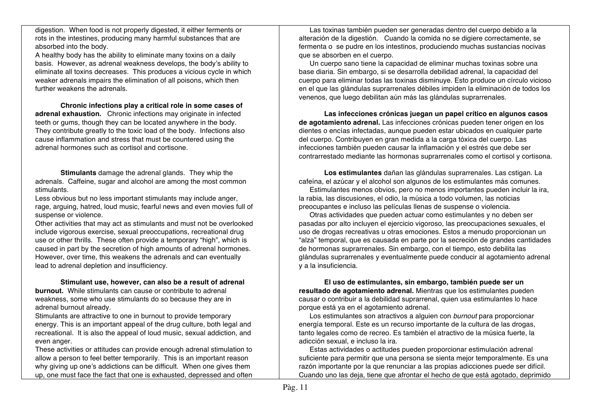digestion. When food is not properly digested, it either ferments or rots in the intestines, producing many harmful substances that are absorbed into the body.

A healthy body has the ability to eliminate many toxins on a daily basis. However, as adrenal weakness develops, the body's ability to eliminate all toxins decreases. This produces a vicious cycle in which weaker adrenals impairs the elimination of all poisons, which then further weakens the adrenals.

**Chronic infections play a critical role in some cases of adrenal exhaustion.** Chronic infections may originate in infected teeth or gums, though they can be located anywhere in the body. They contribute greatly to the toxic load of the body. Infections also cause inflammation and stress that must be countered using the adrenal hormones such as cortisol and cortisone.

**Stimulants** damage the adrenal glands. They whip the adrenals. Caffeine, sugar and alcohol are among the most common stimulants.

Less obvious but no less important stimulants may include anger, rage, arguing, hatred, loud music, fearful news and even movies full of suspense or violence.

Other activities that may act as stimulants and must not be overlooked include vigorous exercise, sexual preoccupations, recreational drug use or other thrills. These often provide a temporary "high", which is caused in part by the secretion of high amounts of adrenal hormones. However, over time, this weakens the adrenals and can eventually lead to adrenal depletion and insufficiency.

## **Stimulant use, however, can also be a result of adrenal**

**burnout.** While stimulants can cause or contribute to adrenal weakness, some who use stimulants do so because they are in adrenal burnout already.

Stimulants are attractive to one in burnout to provide temporary energy. This is an important appeal of the drug culture, both legal and recreational. It is also the appeal of loud music, sexual addiction, and even anger.

These activities or attitudes can provide enough adrenal stimulation to allow a person to feel better temporarily. This is an important reason why giving up one's addictions can be difficult. When one gives them up, one must face the fact that one is exhausted, depressed and often

Las toxinas también pueden ser generadas dentro del cuerpo debido a la alteración de la digestión. Cuando la comida no se digiere correctamente, se fermenta o se pudre en los intestinos, produciendo muchas sustancias nocivas que se absorben en el cuerpo.

Un cuerpo sano tiene la capacidad de eliminar muchas toxinas sobre una base diaria. Sin embargo, si se desarrolla debilidad adrenal, la capacidad del cuerpo para eliminar todas las toxinas disminuye. Esto produce un círculo vicioso en el que las glándulas suprarrenales débiles impiden la eliminación de todos los venenos, que luego debilitan aún más las glándulas suprarrenales.

**Las infecciones crónicas juegan un papel crítico en algunos casos de agotamiento adrenal.** Las infecciones crónicas pueden tener origen en los dientes o encías infectadas, aunque pueden estar ubicados en cualquier parte del cuerpo. Contribuyen en gran medida a la carga tóxica del cuerpo. Las infecciones también pueden causar la inflamación y el estrés que debe ser contrarrestado mediante las hormonas suprarrenales como el cortisol y cortisona.

**Los estimulantes** dañan las glándulas suprarrenales. Las cstigan. La cafeína, el azúcar y el alcohol son algunos de los estimulantes más comunes.

Estimulantes menos obvios, pero no menos importantes pueden incluir la ira, la rabia, las discusiones, el odio, la música a todo volumen, las noticias preocupantes e incluso las películas llenas de suspense o violencia.

Otras actividades que pueden actuar como estimulantes y no deben ser pasadas por alto incluyen el ejercicio vigoroso, las preocupaciones sexuales, el uso de drogas recreativas u otras emociones. Estos a menudo proporcionan un "alza" temporal, que es causada en parte por la secreción de grandes cantidades de hormonas suprarrenales. Sin embargo, con el tiempo, esto debilita las glándulas suprarrenales y eventualmente puede conducir al agotamiento adrenal y a la insuficiencia.

**El uso de estimulantes, sin embargo, también puede ser un resultado de agotamiento adrenal.** Mientras que los estimulantes pueden causar o contribuir a la debilidad suprarrenal, quien usa estimulantes lo hace porque está ya en el agotamiento adrenal.

Los estimulantes son atractivos a alguien con *burnout* para proporcionar energía temporal. Este es un recurso importante de la cultura de las drogas, tanto legales como de recreo. Es también el atractivo de la música fuerte, la adicción sexual, e incluso la ira.

Estas actividades o actitudes pueden proporcionar estimulación adrenal suficiente para permitir que una persona se sienta mejor temporalmente. Es una razón importante por la que renunciar a las propias adicciones puede ser difícil. Cuando uno las deja, tiene que afrontar el hecho de que está agotado, deprimido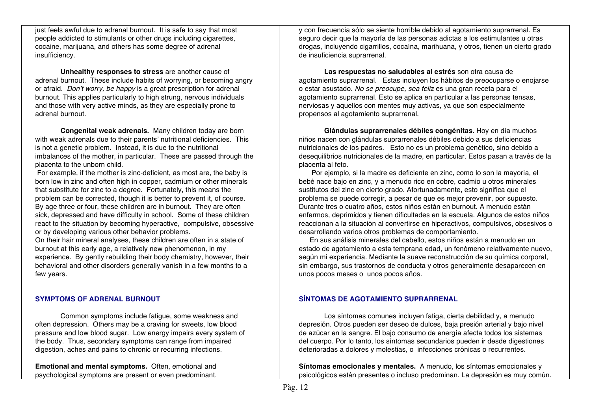just feels awful due to adrenal burnout. It is safe to say that most people addicted to stimulants or other drugs including cigarettes, cocaine, marijuana, and others has some degree of adrenal insufficiency.

**Unhealthy responses to stress** are another cause of adrenal burnout. These include habits of worrying, or becoming angry or afraid. *Don't worry, be happy* is a great prescription for adrenal burnout. This applies particularly to high strung, nervous individuals and those with very active minds, as they are especially prone to adrenal burnout.

**Congenital weak adrenals.** Many children today are born with weak adrenals due to their parents' nutritional deficiencies. This is not a genetic problem. Instead, it is due to the nutritional imbalances of the mother, in particular. These are passed through the placenta to the unborn child.

For example, if the mother is zinc-deficient, as most are, the baby is born low in zinc and often high in copper, cadmium or other minerals that substitute for zinc to a degree. Fortunately, this means the problem can be corrected, though it is better to prevent it, of course. By age three or four, these children are in burnout. They are often sick, depressed and have difficulty in school. Some of these children react to the situation by becoming hyperactive, compulsive, obsessive or by developing various other behavior problems.

On their hair mineral analyses, these children are often in a state of burnout at this early age, a relatively new phenomenon, in my experience. By gently rebuilding their body chemistry, however, their behavioral and other disorders generally vanish in a few months to a few years.

## **SYMPTOMS OF ADRENAL BURNOUT**

Common symptoms include fatigue, some weakness and often depression. Others may be a craving for sweets, low blood pressure and low blood sugar. Low energy impairs every system of the body. Thus, secondary symptoms can range from impaired digestion, aches and pains to chronic or recurring infections.

**Emotional and mental symptoms.** Often, emotional and psychological symptoms are present or even predominant.

y con frecuencia sólo se siente horrible debido al agotamiento suprarrenal. Es seguro decir que la mayoría de las personas adictas a los estimulantes u otras drogas, incluyendo cigarrillos, cocaína, marihuana, y otros, tienen un cierto grado de insuficiencia suprarrenal.

**Las respuestas no saludables al estrés** son otra causa de agotamiento suprarrenal. Estas incluyen los hábitos de preocuparse o enojarse o estar asustado. *No se preocupe, sea feliz* es una gran receta para el agotamiento suprarrenal. Esto se aplica en particular a las personas tensas, nerviosas y aquellos con mentes muy activas, ya que son especialmente propensos al agotamiento suprarrenal.

**Glándulas suprarrenales débiles congénitas.** Hoy en día muchos niños nacen con glándulas suprarrenales débiles debido a sus deficiencias nutricionales de los padres. Esto no es un problema genético, sino debido a desequilibrios nutricionales de la madre, en particular. Estos pasan a través de la placenta al feto.

 Por ejemplo, si la madre es deficiente en zinc, como lo son la mayoría, el bebé nace bajo en zinc, y a menudo rico en cobre, cadmio u otros minerales sustitutos del zinc en cierto grado. Afortunadamente, esto significa que el problema se puede corregir, a pesar de que es mejor prevenir, por supuesto. Durante tres o cuatro años, estos niños están en burnout. A menudo están enfermos, deprimidos y tienen dificultades en la escuela. Algunos de estos niños reaccionan a la situación al convertirse en hiperactivos, compulsivos, obsesivos o desarrollando varios otros problemas de comportamiento.

En sus análisis minerales del cabello, estos niños están a menudo en un estado de agotamiento a esta temprana edad, un fenómeno relativamente nuevo, según mi experiencia. Mediante la suave reconstrucción de su química corporal, sin embargo, sus trastornos de conducta y otros generalmente desaparecen en unos pocos meses o unos pocos años.

## **SÍNTOMAS DE AGOTAMIENTO SUPRARRENAL**

Los síntomas comunes incluyen fatiga, cierta debilidad y, a menudo depresión. Otros pueden ser deseo de dulces, baja presión arterial y bajo nivel de azúcar en la sangre. El bajo consumo de energía afecta todos los sistemas del cuerpo. Por lo tanto, los síntomas secundarios pueden ir desde digestiones deterioradas a dolores y molestias, o infecciones crónicas o recurrentes.

**Síntomas emocionales y mentales.** A menudo, los síntomas emocionales y psicológicos están presentes o incluso predominan. La depresión es muy común.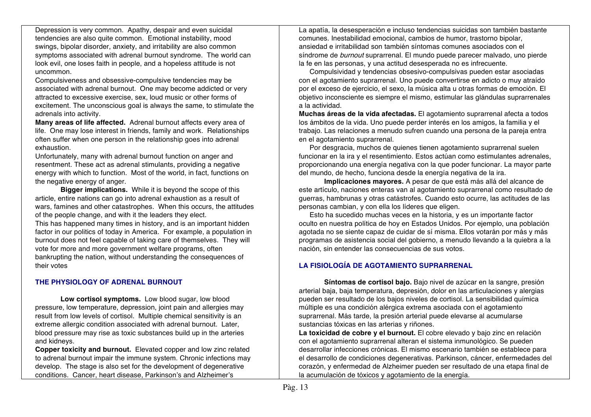Depression is very common. Apathy, despair and even suicidal tendencies are also quite common. Emotional instability, mood swings, bipolar disorder, anxiety, and irritability are also common symptoms associated with adrenal burnout syndrome. The world can look evil, one loses faith in people, and a hopeless attitude is not uncommon.

Compulsiveness and obsessive-compulsive tendencies may be associated with adrenal burnout. One may become addicted or very attracted to excessive exercise, sex, loud music or other forms of excitement. The unconscious goal is always the same, to stimulate the adrenals into activity.

**Many areas of life affected.** Adrenal burnout affects every area of life. One may lose interest in friends, family and work. Relationships often suffer when one person in the relationship goes into adrenal exhaustion.

Unfortunately, many with adrenal burnout function on anger and resentment. These act as adrenal stimulants, providing a negative energy with which to function. Most of the world, in fact, functions on the negative energy of anger.

**Bigger implications.** While it is beyond the scope of this article, entire nations can go into adrenal exhaustion as a result of wars, famines and other catastrophes. When this occurs, the attitudes of the people change, and with it the leaders they elect. This has happened many times in history, and is an important hidden factor in our politics of today in America. For example, a population in

burnout does not feel capable of taking care of themselves. They will vote for more and more government welfare programs, often bankrupting the nation, without understanding the consequences of their votes

## **THE PHYSIOLOGY OF ADRENAL BURNOUT**

**Low cortisol symptoms.** Low blood sugar, low blood pressure, low temperature, depression, joint pain and allergies may result from low levels of cortisol. Multiple chemical sensitivity is an extreme allergic condition associated with adrenal burnout. Later, blood pressure may rise as toxic substances build up in the arteries and kidneys.

**Copper toxicity and burnout.** Elevated copper and low zinc related to adrenal burnout impair the immune system. Chronic infections may develop. The stage is also set for the development of degenerative conditions. Cancer, heart disease, Parkinson's and Alzheimer's

La apatía, la desesperación e incluso tendencias suicidas son también bastante comunes. Inestabilidad emocional, cambios de humor, trastorno bipolar, ansiedad e irritabilidad son también síntomas comunes asociados con el síndrome de *burnout* suprarrenal. El mundo puede parecer malvado, uno pierde la fe en las personas, y una actitud desesperada no es infrecuente.

Compulsividad y tendencias obsesivo-compulsivas pueden estar asociadas con el agotamiento suprarrenal. Uno puede convertirse en adicto o muy atraído por el exceso de ejercicio, el sexo, la música alta u otras formas de emoción. El objetivo inconsciente es siempre el mismo, estimular las glándulas suprarrenales a la actividad.

**Muchas áreas de la vida afectadas.** El agotamiento suprarrenal afecta a todos los ámbitos de la vida. Uno puede perder interés en los amigos, la familia y el trabajo. Las relaciones a menudo sufren cuando una persona de la pareja entra en el agotamiento suprarrenal.

Por desgracia, muchos de quienes tienen agotamiento suprarrenal suelen funcionar en la ira y el resentimiento. Estos actúan como estimulantes adrenales, proporcionando una energía negativa con la que poder funcionar. La mayor parte del mundo, de hecho, funciona desde la energía negativa de la ira.

**Implicaciones mayores.** A pesar de que está más allá del alcance de este artículo, naciones enteras van al agotamiento suprarrenal como resultado de guerras, hambrunas y otras catástrofes. Cuando esto ocurre, las actitudes de las personas cambian, y con ella los líderes que eligen.

Esto ha sucedido muchas veces en la historia, y es un importante factor oculto en nuestra política de hoy en Estados Unidos. Por ejemplo, una población agotada no se siente capaz de cuidar de sí misma. Ellos votarán por más y más programas de asistencia social del gobierno, a menudo llevando a la quiebra a la nación, sin entender las consecuencias de sus votos.

## **LA FISIOLOGÍA DE AGOTAMIENTO SUPRARRENAL**

**Síntomas de cortisol bajo.** Bajo nivel de azúcar en la sangre, presión arterial baja, baja temperatura, depresión, dolor en las articulaciones y alergias pueden ser resultado de los bajos niveles de cortisol. La sensibilidad química múltiple es una condición alérgica extrema asociada con el agotamiento suprarrenal. Más tarde, la presión arterial puede elevarse al acumularse sustancias tóxicas en las arterias y riñones.

**La toxicidad de cobre y el burnout.** El cobre elevado y bajo zinc en relación con el agotamiento suprarrenal alteran el sistema inmunológico. Se pueden desarrollar infecciones crónicas. El mismo escenario también se establece para el desarrollo de condiciones degenerativas. Parkinson, cáncer, enfermedades del corazón, y enfermedad de Alzheimer pueden ser resultado de una etapa final de la acumulación de tóxicos y agotamiento de la energía.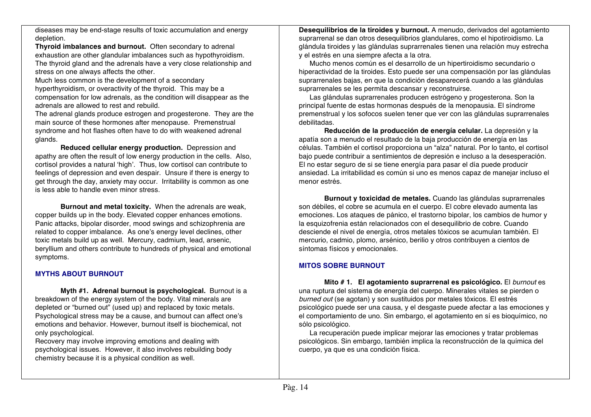diseases may be end-stage results of toxic accumulation and energy depletion.

**Thyroid imbalances and burnout.** Often secondary to adrenal exhaustion are other glandular imbalances such as hypothyroidism. The thyroid gland and the adrenals have a very close relationship and stress on one always affects the other.

Much less common is the development of a secondary hyperthyroidism, or overactivity of the thyroid. This may be a compensation for low adrenals, as the condition will disappear as the adrenals are allowed to rest and rebuild.

The adrenal glands produce estrogen and progesterone. They are the main source of these hormones after menopause. Premenstrual syndrome and hot flashes often have to do with weakened adrenal glands.

**Reduced cellular energy production.** Depression and apathy are often the result of low energy production in the cells. Also, cortisol provides a natural 'high'. Thus, low cortisol can contribute to feelings of depression and even despair. Unsure if there is energy to get through the day, anxiety may occur. Irritability is common as one is less able to handle even minor stress.

**Burnout and metal toxicity.** When the adrenals are weak, copper builds up in the body. Elevated copper enhances emotions. Panic attacks, bipolar disorder, mood swings and schizophrenia are related to copper imbalance. As one's energy level declines, other toxic metals build up as well. Mercury, cadmium, lead, arsenic, beryllium and others contribute to hundreds of physical and emotional symptoms.

## **MYTHS ABOUT BURNOUT**

**Myth #1. Adrenal burnout is psychological.** Burnout is a breakdown of the energy system of the body. Vital minerals are depleted or "burned out" (used up) and replaced by toxic metals. Psychological stress may be a cause, and burnout can affect one's emotions and behavior. However, burnout itself is biochemical, not only psychological.

Recovery may involve improving emotions and dealing with psychological issues. However, it also involves rebuilding body chemistry because it is a physical condition as well.

**Desequilibrios de la tiroides y burnout.** A menudo, derivados del agotamiento suprarrenal se dan otros desequilibrios glandulares, como el hipotiroidismo. La glándula tiroides y las glándulas suprarrenales tienen una relación muy estrecha y el estrés en una siempre afecta a la otra.

Mucho menos común es el desarrollo de un hipertiroidismo secundario o hiperactividad de la tiroides. Esto puede ser una compensación por las glándulas suprarrenales bajas, en que la condición desaparecerá cuando a las glándulas suprarrenales se les permita descansar y reconstruirse.

Las glándulas suprarrenales producen estrógeno y progesterona. Son la principal fuente de estas hormonas después de la menopausia. El síndrome premenstrual y los sofocos suelen tener que ver con las glándulas suprarrenales debilitadas.

**Reducción de la producción de energía celular.** La depresión y la apatía son a menudo el resultado de la baja producción de energía en las células. También el cortisol proporciona un "alza" natural. Por lo tanto, el cortisol bajo puede contribuir a sentimientos de depresión e incluso a la desesperación. El no estar seguro de si se tiene energía para pasar el día puede producir ansiedad. La irritabilidad es común si uno es menos capaz de manejar incluso el menor estrés.

**Burnout y toxicidad de metales.** Cuando las glándulas suprarrenales son débiles, el cobre se acumula en el cuerpo. El cobre elevado aumenta las emociones. Los ataques de pánico, el trastorno bipolar, los cambios de humor y la esquizofrenia están relacionados con el desequilibrio de cobre. Cuando desciende el nivel de energía, otros metales tóxicos se acumulan también. El mercurio, cadmio, plomo, arsénico, berilio y otros contribuyen a cientos de síntomas físicos y emocionales.

## **MITOS SOBRE BURNOUT**

**Mito # 1. El agotamiento suprarrenal es psicológico.** El *burnout* es una ruptura del sistema de energía del cuerpo. Minerales vitales se pierden o *burned out* (se agotan) y son sustituidos por metales tóxicos. El estrés psicológico puede ser una causa, y el desgaste puede afectar a las emociones y el comportamiento de uno. Sin embargo, el agotamiento en sí es bioquímico, no sólo psicológico.

La recuperación puede implicar mejorar las emociones y tratar problemas psicológicos. Sin embargo, también implica la reconstrucción de la química del cuerpo, ya que es una condición física.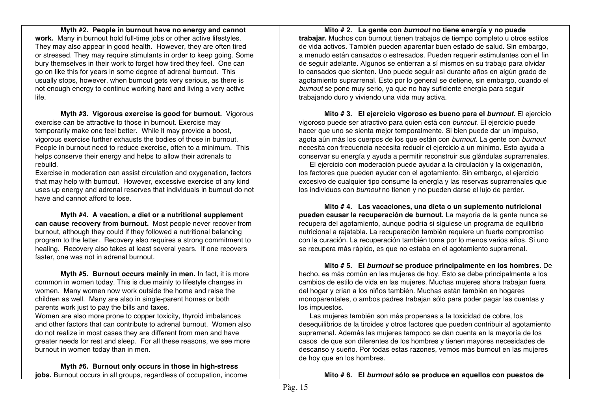**Myth #2. People in burnout have no energy and cannot work.** Many in burnout hold full-time jobs or other active lifestyles. They may also appear in good health. However, they are often tired or stressed. They may require stimulants in order to keep going. Some bury themselves in their work to forget how tired they feel. One can go on like this for years in some degree of adrenal burnout. This usually stops, however, when burnout gets very serious, as there is not enough energy to continue working hard and living a very active life.

**Myth #3. Vigorous exercise is good for burnout.** Vigorous exercise can be attractive to those in burnout. Exercise may temporarily make one feel better. While it may provide a boost, vigorous exercise further exhausts the bodies of those in burnout. People in burnout need to reduce exercise, often to a minimum. This helps conserve their energy and helps to allow their adrenals to rebuild.

Exercise in moderation can assist circulation and oxygenation, factors that may help with burnout. However, excessive exercise of any kind uses up energy and adrenal reserves that individuals in burnout do not have and cannot afford to lose.

**Myth #4. A vacation, a diet or a nutritional supplement can cause recovery from burnout.** Most people never recover from burnout, although they could if they followed a nutritional balancing program to the letter. Recovery also requires a strong commitment to healing. Recovery also takes at least several years. If one recovers faster, one was not in adrenal burnout.

**Myth #5. Burnout occurs mainly in men.** In fact, it is more common in women today. This is due mainly to lifestyle changes in women. Many women now work outside the home and raise the children as well. Many are also in single-parent homes or both parents work just to pay the bills and taxes.

Women are also more prone to copper toxicity, thyroid imbalances and other factors that can contribute to adrenal burnout. Women also do not realize in most cases they are different from men and have greater needs for rest and sleep. For all these reasons, we see more burnout in women today than in men.

**Myth #6. Burnout only occurs in those in high-stress jobs.** Burnout occurs in all groups, regardless of occupation, income

**Mito # 2. La gente con** *burnout* **no tiene energía y no puede trabajar.** Muchos con burnout tienen trabajos de tiempo completo u otros estilos de vida activos. También pueden aparentar buen estado de salud. Sin embargo, a menudo están cansados o estresados. Pueden requerir estimulantes con el fin de seguir adelante. Algunos se entierran a sí mismos en su trabajo para olvidar lo cansados que sienten. Uno puede seguir así durante años en algún grado de agotamiento suprarrenal. Esto por lo general se detiene, sin embargo, cuando el *burnout* se pone muy serio, ya que no hay suficiente energía para seguir trabajando duro y viviendo una vida muy activa.

**Mito # 3. El ejercicio vigoroso es bueno para el** *burnout***.** El ejercicio vigoroso puede ser atractivo para quien está con *burnout*. El ejercicio puede hacer que uno se sienta mejor temporalmente. Si bien puede dar un impulso, agota aún más los cuerpos de los que están con *burnout*. La gente con *burnout* necesita con frecuencia necesita reducir el ejercicio a un mínimo. Esto ayuda a conservar su energía y ayuda a permitir reconstruir sus glándulas suprarrenales.

El ejercicio con moderación puede ayudar a la circulación y la oxigenación, los factores que pueden ayudar con el agotamiento. Sin embargo, el ejercicio excesivo de cualquier tipo consume la energía y las reservas suprarrenales que los individuos con *burnout* no tienen y no pueden darse el lujo de perder.

**Mito # 4. Las vacaciones, una dieta o un suplemento nutricional pueden causar la recuperación de burnout.** La mayoría de la gente nunca se recupera del agotamiento, aunque podría si siguiese un programa de equilibrio nutricional a rajatabla. La recuperación también requiere un fuerte compromiso con la curación. La recuperación también toma por lo menos varios años. Si uno se recupera más rápido, es que no estaba en el agotamiento suprarrenal.

**Mito # 5. El** *burnout* **se produce principalmente en los hombres.** De hecho, es más común en las mujeres de hoy. Esto se debe principalmente a los cambios de estilo de vida en las mujeres. Muchas mujeres ahora trabajan fuera del hogar y crian a los niños también. Muchas están también en hogares monoparentales, o ambos padres trabajan sólo para poder pagar las cuentas y los impuestos.

Las mujeres también son más propensas a la toxicidad de cobre, los desequilibrios de la tiroides y otros factores que pueden contribuir al agotamiento suprarrenal. Además las mujeres tampoco se dan cuenta en la mayoría de los casos de que son diferentes de los hombres y tienen mayores necesidades de descanso y sueño. Por todas estas razones, vemos más burnout en las mujeres de hoy que en los hombres.

**Mito # 6. El** *burnout* **sólo se produce en aquellos con puestos de**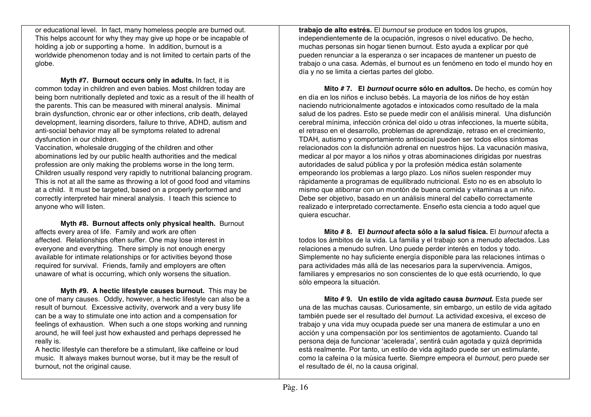or educational level. In fact, many homeless people are burned out. This helps account for why they may give up hope or be incapable of holding a job or supporting a home. In addition, burnout is a worldwide phenomenon today and is not limited to certain parts of the globe.

**Myth #7. Burnout occurs only in adults.** In fact, it is common today in children and even babies. Most children today are being born nutritionally depleted and toxic as a result of the ill health of the parents. This can be measured with mineral analysis. Minimal brain dysfunction, chronic ear or other infections, crib death, delayed development, learning disorders, failure to thrive, ADHD, autism and anti-social behavior may all be symptoms related to adrenal dysfunction in our children.

Vaccination, wholesale drugging of the children and other abominations led by our public health authorities and the medical profession are only making the problems worse in the long term. Children usually respond very rapidly to nutritional balancing program. This is not at all the same as throwing a lot of good food and vitamins at a child. It must be targeted, based on a properly performed and correctly interpreted hair mineral analysis. I teach this science to anyone who will listen.

**Myth #8. Burnout affects only physical health.** Burnout affects every area of life. Family and work are often affected. Relationships often suffer. One may lose interest in everyone and everything. There simply is not enough energy available for intimate relationships or for activities beyond those required for survival. Friends, family and employers are often unaware of what is occurring, which only worsens the situation.

**Myth #9. A hectic lifestyle causes burnout.** This may be one of many causes. Oddly, however, a hectic lifestyle can also be a result of burnout. Excessive activity, overwork and a very busy life can be a way to stimulate one into action and a compensation for feelings of exhaustion. When such a one stops working and running around, he will feel just how exhausted and perhaps depressed he really is.

A hectic lifestyle can therefore be a stimulant, like caffeine or loud music. It always makes burnout worse, but it may be the result of burnout, not the original cause.

**trabajo de alto estrés.** El *burnout* se produce en todos los grupos, independientemente de la ocupación, ingresos o nivel educativo. De hecho, muchas personas sin hogar tienen burnout. Esto ayuda a explicar por qué pueden renunciar a la esperanza o ser incapaces de mantener un puesto de trabajo o una casa. Además, el burnout es un fenómeno en todo el mundo hoy en día y no se limita a ciertas partes del globo.

**Mito # 7. El** *burnout* **ocurre sólo en adultos.** De hecho, es común hoy en día en los niños e incluso bebés. La mayoría de los niños de hoy están naciendo nutricionalmente agotados e intoxicados como resultado de la mala salud de los padres. Esto se puede medir con el análisis mineral. Una disfunción cerebral mínima, infección crónica del oído u otras infecciones, la muerte súbita, el retraso en el desarrollo, problemas de aprendizaje, retraso en el crecimiento, TDAH, autismo y comportamiento antisocial pueden ser todos ellos síntomas relacionados con la disfunción adrenal en nuestros hijos. La vacunación masiva, medicar al por mayor a los niños y otras abominaciones dirigidas por nuestras autoridades de salud pública y por la profesión médica están solamente empeorando los problemas a largo plazo. Los niños suelen responder muy rápidamente a programas de equilibrado nutricional. Esto no es en absoluto lo mismo que atiborrar con un montón de buena comida y vitaminas a un niño. Debe ser objetivo, basado en un análisis mineral del cabello correctamente realizado e interpretado correctamente. Enseño esta ciencia a todo aquel que quiera escuchar.

**Mito # 8. El** *burnout* **afecta sólo a la salud física.** El *burnout* afecta a todos los ámbitos de la vida. La familia y el trabajo son a menudo afectados. Las relaciones a menudo sufren. Uno puede perder interés en todos y todo. Simplemente no hay suficiente energía disponible para las relaciones íntimas o para actividades más allá de las necesarios para la supervivencia. Amigos, familiares y empresarios no son conscientes de lo que está ocurriendo, lo que sólo empeora la situación.

**Mito # 9. Un estilo de vida agitado causa** *burnout***.** Esta puede ser una de las muchas causas. Curiosamente, sin embargo, un estilo de vida agitado también puede ser el resultado del *burnout*. La actividad excesiva, el exceso de trabajo y una vida muy ocupada puede ser una manera de estimular a uno en acción y una compensación por los sentimientos de agotamiento. Cuando tal persona deja de funcionar 'acelerada', sentirá cuán agotada y quizá deprimida está realmente. Por tanto, un estilo de vida agitado puede ser un estimulante, como la cafeína o la música fuerte. Siempre empeora el *burnout*, pero puede ser el resultado de él, no la causa original.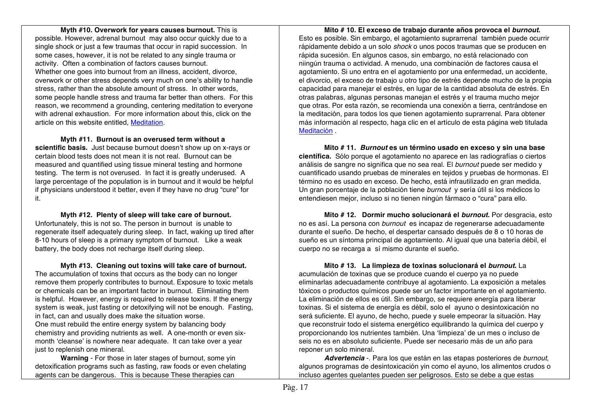#### **Myth #10. Overwork for years causes burnout.** This is possible. However, adrenal burnout may also occur quickly due to a single shock or just a few traumas that occur in rapid succession. In some cases, however, it is not be related to any single trauma or activity. Often a combination of factors causes burnout. Whether one goes into burnout from an illness, accident, divorce, overwork or other stress depends very much on one's ability to handle stress, rather than the absolute amount of stress. In other words, some people handle stress and trauma far better than others. For this reason, we recommend a grounding, centering meditation to everyone with adrenal exhaustion. For more information about this, click on the article on this website entitled, Meditation.

**Myth #11. Burnout is an overused term without a scientific basis.** Just because burnout doesn't show up on x-rays or certain blood tests does not mean it is not real. Burnout can be measured and quantified using tissue mineral testing and hormone testing. The term is not overused. In fact it is greatly underused. A large percentage of the population is in burnout and it would be helpful if physicians understood it better, even if they have no drug "cure" for it.

**Myth #12. Plenty of sleep will take care of burnout.** Unfortunately, this is not so. The person in burnout is unable to regenerate itself adequately during sleep. In fact, waking up tired after 8-10 hours of sleep is a primary symptom of burnout. Like a weak battery, the body does not recharge itself during sleep.

**Myth #13. Cleaning out toxins will take care of burnout.** The accumulation of toxins that occurs as the body can no longer remove them properly contributes to burnout. Exposure to toxic metals or chemicals can be an important factor in burnout. Eliminating them is helpful. However, energy is required to release toxins. If the energy system is weak, just fasting or detoxifying will not be enough. Fasting, in fact, can and usually does make the situation worse. One must rebuild the entire energy system by balancing body chemistry and providing nutrients as well. A one-month or even sixmonth 'cleanse' is nowhere near adequate. It can take over a year just to replenish one mineral.

**Warning** - For those in later stages of burnout, some yin detoxification programs such as fasting, raw foods or even chelating agents can be dangerous. This is because These therapies can

**Mito # 10. El exceso de trabajo durante años provoca el** *burnout***.** Esto es posible. Sin embargo, el agotamiento suprarrenal también puede ocurrir rápidamente debido a un solo *shock* o unos pocos traumas que se producen en rápida sucesión. En algunos casos, sin embargo, no está relacionado con niingún trauma o actividad. A menudo, una combinación de factores causa el agotamiento. Si uno entra en el agotamiento por una enfermedad, un accidente, el divorcio, el exceso de trabajo u otro tipo de estrés depende mucho de la propia capacidad para manejar el estrés, en lugar de la cantidad absoluta de estrés. En otras palabras, algunas personas manejan el estrés y el trauma mucho mejor que otras. Por esta razón, se recomienda una conexión a tierra, centrándose en la meditación, para todos los que tienen agotamiento suprarrenal. Para obtener más información al respecto, haga clic en el artículo de esta página web titulada Meditación .

**Mito # 11.** *Burnout* **es un término usado en exceso y sin una base científica.** Sólo porque el agotamiento no aparece en las radiografías o ciertos análisis de sangre no significa que no sea real. El *burnout* puede ser medido y cuantificado usando pruebas de minerales en tejidos y pruebas de hormonas. El término no es usado en exceso. De hecho, está infrautilizado en gran medida. Un gran porcentaje de la población tiene *burnout* y sería útil si los médicos lo entendiesen mejor, incluso si no tienen ningún fármaco o "cura" para ello.

**Mito # 12. Dormir mucho solucionará el** *burnout***.** Por desgracia, esto no es así. La persona con *burnout* es incapaz de regenerarse adecuadamente durante el sueño. De hecho, el despertar cansado después de 8 o 10 horas de sueño es un síntoma principal de agotamiento. Al igual que una batería débil, el cuerpo no se recarga a sí mismo durante el sueño.

**Mito # 13. La limpieza de toxinas solucionará el** *burnout***.** La acumulación de toxinas que se produce cuando el cuerpo ya no puede eliminarlas adecuadamente contribuye al agotamiento. La exposición a metales tóxicos o productos químicos puede ser un factor importante en el agotamiento. La eliminación de ellos es útil. Sin embargo, se requiere energía para liberar toxinas. Si el sistema de energía es débil, solo el ayuno o desintoxicación no será suficiente. El ayuno, de hecho, puede y suele empeorar la situación. Hay que reconstruir todo el sistema energético equilibrando la química del cuerpo y proporcionando los nutrientes también. Una 'limpieza' de un mes o incluso de seis no es en absoluto suficiente. Puede ser necesario más de un año para reponer un solo mineral.

*Advertencia* -. Para los que están en las etapas posteriores de *burnout*, algunos programas de desintoxicación yin como el ayuno, los alimentos crudos o incluso agentes quelantes pueden ser peligrosos. Esto se debe a que estas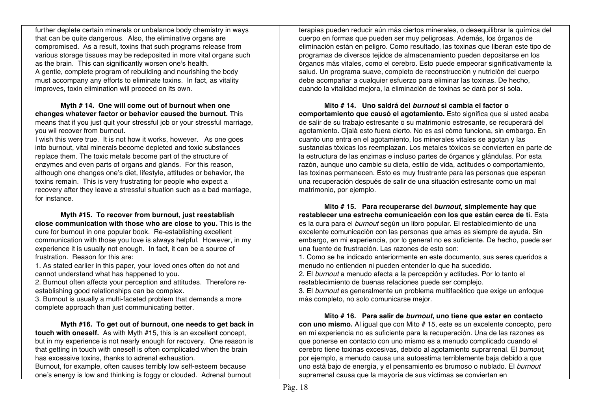further deplete certain minerals or unbalance body chemistry in ways that can be quite dangerous. Also, the eliminative organs are compromised. As a result, toxins that such programs release from various storage tissues may be redeposited in more vital organs such as the brain. This can significantly worsen one's health. A gentle, complete program of rebuilding and nourishing the body must accompany any efforts to eliminate toxins. In fact, as vitality improves, toxin elimination will proceed on its own.

**Myth # 14. One will come out of burnout when one changes whatever factor or behavior caused the burnout.** This means that if you just quit your stressful job or your stressful marriage, you wil recover from burnout.

I wish this were true. It is not how it works, however. As one goes into burnout, vital minerals become depleted and toxic substances replace them. The toxic metals become part of the structure of enzymes and even parts of organs and glands. For this reason, although one changes one's diet, lifestyle, attitudes or behavior, the toxins remain. This is very frustrating for people who expect a recovery after they leave a stressful situation such as a bad marriage, for instance.

**Myth #15. To recover from burnout, just reestablish close communication with those who are close to you.** This is the cure for burnout in one popular book. Re-establishing excellent communication with those you love is always helpful. However, in my experience it is usually not enough. In fact, it can be a source of frustration. Reason for this are:

1. As stated earlier in this paper, your loved ones often do not and cannot understand what has happened to you.

2. Burnout often affects your perception and attitudes. Therefore reestablishing good relationships can be complex.

3. Burnout is usually a multi-faceted problem that demands a more complete approach than just communicating better.

**Myth #16. To get out of burnout, one needs to get back in touch with oneself.** As with Myth #15, this is an excellent concept, but in my experience is not nearly enough for recovery. One reason is that getting in touch with oneself is often complicated when the brain has excessive toxins, thanks to adrenal exhaustion. Burnout, for example, often causes terribly low self-esteem because

one's energy is low and thinking is foggy or clouded. Adrenal burnout

terapias pueden reducir aún más ciertos minerales, o desequilibrar la química del cuerpo en formas que pueden ser muy peligrosas. Además, los órganos de eliminación están en peligro. Como resultado, las toxinas que liberan este tipo de programas de diversos tejidos de almacenamiento pueden depositarse en los órganos más vitales, como el cerebro. Esto puede empeorar significativamente la salud. Un programa suave, completo de reconstrucción y nutrición del cuerpo debe acompañar a cualquier esfuerzo para eliminar las toxinas. De hecho, cuando la vitalidad mejora, la eliminación de toxinas se dará por sí sola.

**Mito # 14. Uno saldrá del** *burnout* **si cambia el factor o comportamiento que causó el agotamiento.** Esto significa que si usted acaba de salir de su trabajo estresante o su matrimonio estresante, se recuperará del agotamiento. Ojalá esto fuera cierto. No es así cómo funciona, sin embargo. En cuanto uno entra en el agotamiento, los minerales vitales se agotan y las sustancias tóxicas los reemplazan. Los metales tóxicos se convierten en parte de la estructura de las enzimas e incluso partes de órganos y glándulas. Por esta razón, aunque uno cambie su dieta, estilo de vida, actitudes o comportamiento, las toxinas permanecen. Esto es muy frustrante para las personas que esperan una recuperación después de salir de una situación estresante como un mal matrimonio, por ejemplo.

**Mito # 15. Para recuperarse del** *burnout***, simplemente hay que restablecer una estrecha comunicación con los que están cerca de ti.** Esta es la cura para el *burnout* según un libro popular. El restablecimiento de una excelente comunicación con las personas que amas es siempre de ayuda. Sin embargo, en mi experiencia, por lo general no es suficiente. De hecho, puede ser una fuente de frustración. Las razones de esto son:

1. Como se ha indicado anteriormente en este documento, sus seres queridos a menudo no entienden ni pueden entender lo que ha sucedido.

2. El *burnout* a menudo afecta a la percepción y actitudes. Por lo tanto el restablecimiento de buenas relaciones puede ser complejo.

3. El *burnout* es generalmente un problema multifacético que exige un enfoque más completo, no solo comunicarse mejor.

**Mito # 16. Para salir de** *burnout***, uno tiene que estar en contacto con uno mismo.** Al igual que con Mito # 15, este es un excelente concepto, pero en mi experiencia no es suficiente para la recuperación. Una de las razones es que ponerse en contacto con uno mismo es a menudo complicado cuando el cerebro tiene toxinas excesivas, debido al agotamiento suprarrenal. El *burnout*, por ejemplo, a menudo causa una autoestima terriblemente baja debido a que uno está bajo de energía, y el pensamiento es brumoso o nublado. El *burnout* suprarrenal causa que la mayoría de sus víctimas se conviertan en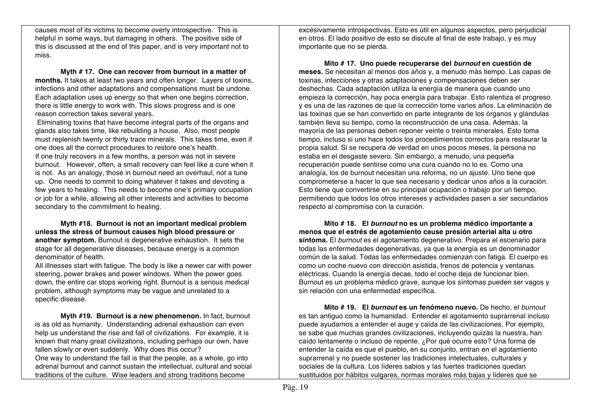causes most of its victims to become overly introspective. This is helpful in some ways, but damaging in others. The positive side of this is discussed at the end of this paper, and is very important not to miss.

**Myth # 17. One can recover from burnout in a matter of months.** It takes at least two years and often longer. Layers of toxins, infections and other adaptations and compensations must be undone. Each adaptation uses up energy so that when one begins correction, there is little energy to work with. This slows progress and is one reason correction takes several years.

Eliminating toxins that have become integral parts of the organs and glands also takes time, like rebuilding a house. Also, most people must replenish twenty or thirty trace minerals. This takes time, even if one does all the correct procedures to restore one's health. If one truly recovers in a few months, a person was not in severe burnout. However, often, a small recovery can feel like a cure when it is not. As an analogy, those in burnout need an overhaul, not a tune up. One needs to commit to doing whatever it takes and devoting a few years to healing. This needs to become one's primary occupation or job for a while, allowing all other interests and activities to become secondary to the commitment to healing.

**Myth #18. Burnout is not an important medical problem unless the stress of burnout causes high blood pressure or another symptom.** Burnout is degenerative exhaustion. It sets the stage for all degenerative diseases, because energy is a common denominator of health.

All illnesses start with fatigue. The body is like a newer car with power steering, power brakes and power windows. When the power goes down, the entire car stops working right. Burnout is a serious medical problem, although symptoms may be vague and unrelated to a specific disease.

**Myth #19. Burnout is a new phenomenon.** In fact, burnout is as old as humanity. Understanding adrenal exhaustion can even help us understand the rise and fall of civilizations. For example, it is known that many great civilizations, including perhaps our own, have fallen slowly or even suddenly. Why does this occur? One way to understand the fall is that the people, as a whole, go into adrenal burnout and cannot sustain the intellectual, cultural and social traditions of the culture. Wise leaders and strong traditions become

excesivamente introspectivas. Esto es útil en algunos aspectos, pero perjudicial en otros. El lado positivo de esto se discute al final de este trabajo, y es muy importante que no se pierda.

**Mito # 17. Uno puede recuperarse del** *burnout* **en cuestión de meses.** Se necesitan al menos dos años y, a menudo más tiempo. Las capas de toxinas, infecciones y otras adaptaciones y compensaciones deben ser deshechas. Cada adaptación utiliza la energía de manera que cuando uno empieza la corrección, hay poca energía para trabajar. Esto ralentiza el progreso y es una de las razones de que la corrección tome varios años. La eliminación de las toxinas que se han convertido en parte integrante de los órganos y glándulas también lleva su tiempo, como la reconstrucción de una casa. Además, la mayoría de las personas deben reponer veinte o treinta minerales. Esto toma tiempo, incluso si uno hace todos los procedimientos correctos para restaurar la propia salud. Si se recupera de verdad en unos pocos meses, la persona no estaba en el desgaste severo. Sin embargo, a menudo, una pequeña recuperación puede sentirse como una cura cuando no lo es. Como una analogía, los de burnout necesitan una reforma, no un ajuste. Uno tiene que comprometerse a hacer lo que sea necesario y dedicar unos años a la curación. Esto tiene que convertirse en su principal ocupación o trabajo por un tiempo, permitiendo que todos los otros intereses y actividades pasen a ser secundarios respecto al compromiso con la curación.

**Mito # 18. El** *burnout* **no es un problema médico importante a menos que el estrés de agotamiento cause presión arterial alta u otro síntoma.** El *burnout* es el agotamiento degenerativo. Prepara el escenario para todas las enfermedades degenerativas, ya que la energía es un denominador común de la salud. Todas las enfermedades comienzan con fatiga. El cuerpo es como un coche nuevo con dirección asistida, frenos de potencia y ventanas eléctricas. Cuando la energía decae, todo el coche deja de funcionar bien. Burnout es un problema médico grave, aunque los síntomas pueden ser vagos y sin relación con una enfermedad específica.

**Mito # 19. El** *burnout* **es un fenómeno nuevo.** De hecho, el *burnout* es tan antiguo como la humanidad. Entender el agotamiento suprarrenal incluso puede ayudarnos a entender el auge y caída de las civilizaciones. Por ejemplo, se sabe que muchas grandes civilizaciones, incluyendo quizás la nuestra, han caído lentamente o incluso de repente. ¿Por qué ocurre esto? Una forma de entender la caída es que el pueblo, en su conjunto, entran en el agotamiento suprarrenal y no puede sostener las tradiciones intelectuales, culturales y sociales de la cultura. Los líderes sabios y las fuertes tradiciones quedan sustituidos por hábitos vulgares, normas morales más bajas y líderes que se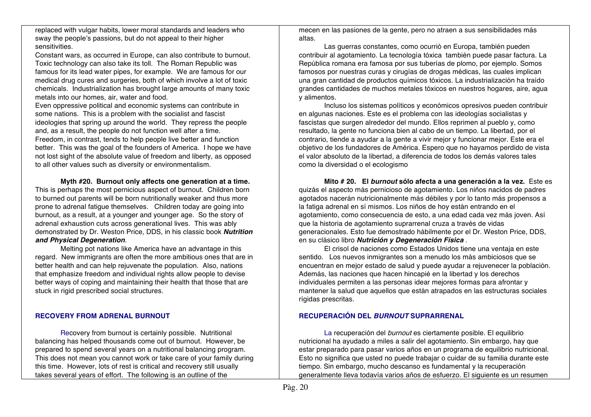replaced with vulgar habits, lower moral standards and leaders who sway the people's passions, but do not appeal to their higher sensitivities.

Constant wars, as occurred in Europe, can also contribute to burnout. Toxic technology can also take its toll. The Roman Republic was famous for its lead water pipes, for example. We are famous for our medical drug cures and surgeries, both of which involve a lot of toxic chemicals. Industrialization has brought large amounts of many toxic metals into our homes, air, water and food.

Even oppressive political and economic systems can contribute in some nations. This is a problem with the socialist and fascist ideologies that spring up around the world. They repress the people and, as a result, the people do not function well after a time. Freedom, in contrast, tends to help people live better and function better. This was the goal of the founders of America. I hope we have not lost sight of the absolute value of freedom and liberty, as opposed to all other values such as diversity or environmentalism.

**Myth #20. Burnout only affects one generation at a time.**  This is perhaps the most pernicious aspect of burnout. Children born to burned out parents will be born nutritionally weaker and thus more prone to adrenal fatigue themselves. Children today are going into burnout, as a result, at a younger and younger age. So the story of adrenal exhaustion cuts across generational lives. This was ably demonstrated by Dr. Weston Price, DDS, in his classic book *Nutrition and Physical Degeneration*.

Melting pot nations like America have an advantage in this regard. New immigrants are often the more ambitious ones that are in better health and can help rejuvenate the population. Also, nations that emphasize freedom and individual rights allow people to devise better ways of coping and maintaining their health that those that are stuck in rigid prescribed social structures.

## **RECOVERY FROM ADRENAL BURNOUT**

Recovery from burnout is certainly possible. Nutritional balancing has helped thousands come out of burnout. However, be prepared to spend several years on a nutritional balancing program. This does not mean you cannot work or take care of your family during this time. However, lots of rest is critical and recovery still usually takes several years of effort. The following is an outline of the

mecen en las pasiones de la gente, pero no atraen a sus sensibilidades más altas.

Las guerras constantes, como ocurrió en Europa, también pueden contribuir al agotamiento. La tecnología tóxica también puede pasar factura. La República romana era famosa por sus tuberías de plomo, por ejemplo. Somos famosos por nuestras curas y cirugías de drogas médicas, las cuales implican una gran cantidad de productos químicos tóxicos. La industrialización ha traído grandes cantidades de muchos metales tóxicos en nuestros hogares, aire, agua y alimentos.

Incluso los sistemas políticos y económicos opresivos pueden contribuir en algunas naciones. Este es el problema con las ideologías socialistas y fascistas que surgen alrededor del mundo. Ellos reprimen al pueblo y, como resultado, la gente no funciona bien al cabo de un tiempo. La libertad, por el contrario, tiende a ayudar a la gente a vivir mejor y funcionar mejor. Este era el objetivo de los fundadores de América. Espero que no hayamos perdido de vista el valor absoluto de la libertad, a diferencia de todos los demás valores tales como la diversidad o el ecologismo

**Mito # 20. El** *burnout* **sólo afecta a una generación a la vez.** Este es quizás el aspecto más pernicioso de agotamiento. Los niños nacidos de padres agotados nacerán nutricionalmente más débiles y por lo tanto más propensos a la fatiga adrenal en sí mismos. Los niños de hoy están entrando en el agotamiento, como consecuencia de esto, a una edad cada vez más joven. Así que la historia de agotamiento suprarrenal cruza a través de vidas generacionales. Esto fue demostrado hábilmente por el Dr. Weston Price, DDS, en su clásico libro *Nutrición y Degeneración Física* .

El crisol de naciones como Estados Unidos tiene una ventaja en este sentido. Los nuevos inmigrantes son a menudo los más ambiciosos que se encuentran en mejor estado de salud y puede ayudar a rejuvenecer la población. Además, las naciones que hacen hincapié en la libertad y los derechos individuales permiten a las personas idear mejores formas para afrontar y mantener la salud que aquellos que están atrapados en las estructuras sociales rígidas prescritas.

## **RECUPERACIÓN DEL** *BURNOUT* **SUPRARRENAL**

La recuperación del *burnout* es ciertamente posible. El equilibrio nutricional ha ayudado a miles a salir del agotamiento. Sin embargo, hay que estar preparado para pasar varios años en un programa de equilibrio nutricional. Esto no significa que usted no puede trabajar o cuidar de su familia durante este tiempo. Sin embargo, mucho descanso es fundamental y la recuperación generalmente lleva todavía varios años de esfuerzo. El siguiente es un resumen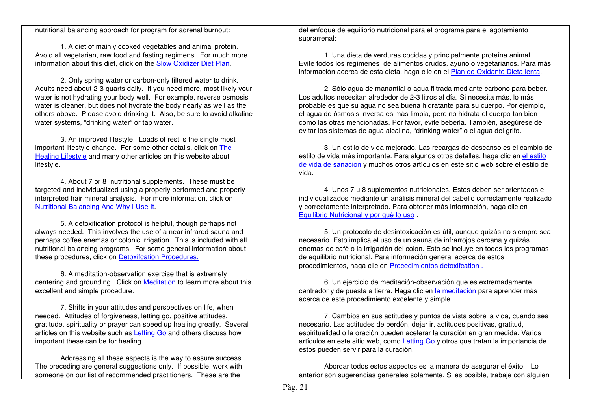nutritional balancing approach for program for adrenal burnout:

1. A diet of mainly cooked vegetables and animal protein. Avoid all vegetarian, raw food and fasting regimens. For much more information about this diet, click on the Slow Oxidizer Diet Plan.

2. Only spring water or carbon-only filtered water to drink. Adults need about 2-3 quarts daily. If you need more, most likely your water is not hydrating your body well. For example, reverse osmosis water is cleaner, but does not hydrate the body nearly as well as the others above. Please avoid drinking it. Also, be sure to avoid alkaline water systems, "drinking water" or tap water.

3. An improved lifestyle. Loads of rest is the single most important lifestyle change. For some other details, click on The Healing Lifestyle and many other articles on this website about lifestyle.

4. About 7 or 8 nutritional supplements. These must be targeted and individualized using a properly performed and properly interpreted hair mineral analysis. For more information, click on Nutritional Balancing And Why I Use It.

5. A detoxification protocol is helpful, though perhaps not always needed. This involves the use of a near infrared sauna and perhaps coffee enemas or colonic irrigation. This is included with all nutritional balancing programs. For some general information about these procedures, click on Detoxifcation Procedures.

6. A meditation-observation exercise that is extremely centering and grounding. Click on Meditation to learn more about this excellent and simple procedure.

7. Shifts in your attitudes and perspectives on life, when needed. Attitudes of forgiveness, letting go, positive attitudes, gratitude, spirituality or prayer can speed up healing greatly. Several articles on this website such as Letting Go and others discuss how important these can be for healing.

Addressing all these aspects is the way to assure success. The preceding are general suggestions only. If possible, work with someone on our list of recommended practitioners. These are the

del enfoque de equilibrio nutricional para el programa para el agotamiento suprarrenal:

1. Una dieta de verduras cocidas y principalmente proteína animal. Evite todos los regímenes de alimentos crudos, ayuno o vegetarianos. Para más información acerca de esta dieta, haga clic en el Plan de Oxidante Dieta lenta.

2. Sólo agua de manantial o agua filtrada mediante carbono para beber. Los adultos necesitan alrededor de 2-3 litros al día. Si necesita más, lo más probable es que su agua no sea buena hidratante para su cuerpo. Por ejemplo, el agua de ósmosis inversa es más limpia, pero no hidrata el cuerpo tan bien como las otras mencionadas. Por favor, evite beberla. También, asegúrese de evitar los sistemas de agua alcalina, "drinking water" o el agua del grifo.

3. Un estilo de vida mejorado. Las recargas de descanso es el cambio de estilo de vida más importante. Para algunos otros detalles, haga clic en el estilo de vida de sanación y muchos otros artículos en este sitio web sobre el estilo de vida.

4. Unos 7 u 8 suplementos nutricionales. Estos deben ser orientados e individualizados mediante un análisis mineral del cabello correctamente realizado y correctamente interpretado. Para obtener más información, haga clic en Equilibrio Nutricional y por qué lo uso .

5. Un protocolo de desintoxicación es útil, aunque quizás no siempre sea necesario. Esto implica el uso de un sauna de infrarrojos cercana y quizás enemas de café o la irrigación del colon. Esto se incluye en todos los programas de equilibrio nutricional. Para información general acerca de estos procedimientos, haga clic en Procedimientos detoxifcation .

6. Un ejercicio de meditación-observación que es extremadamente centrador y de puesta a tierra. Haga clic en la meditación para aprender más acerca de este procedimiento excelente y simple.

7. Cambios en sus actitudes y puntos de vista sobre la vida, cuando sea necesario. Las actitudes de perdón, dejar ir, actitudes positivas, gratitud, espiritualidad o la oración pueden acelerar la curación en gran medida. Varios artículos en este sitio web, como Letting Go y otros que tratan la importancia de estos pueden servir para la curación.

Abordar todos estos aspectos es la manera de asegurar el éxito. Lo anterior son sugerencias generales solamente. Si es posible, trabaje con alguien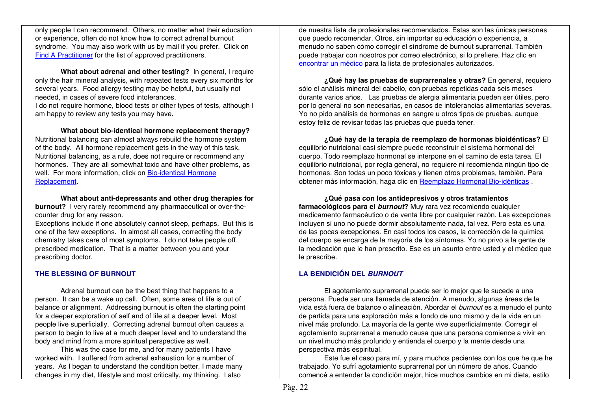only people I can recommend. Others, no matter what their education or experience, often do not know how to correct adrenal burnout syndrome. You may also work with us by mail if you prefer. Click on Find A Practitioner for the list of approved practitioners.

**What about adrenal and other testing?** In general, I require only the hair mineral analysis, with repeated tests every six months for several years. Food allergy testing may be helpful, but usually not needed, in cases of severe food intolerances.

I do not require hormone, blood tests or other types of tests, although I am happy to review any tests you may have.

**What about bio-identical hormone replacement therapy?** Nutritional balancing can almost always rebuild the hormone system of the body. All hormone replacement gets in the way of this task. Nutritional balancing, as a rule, does not require or recommend any hormones. They are all somewhat toxic and have other problems, as well. For more information, click on Bio-identical Hormone Replacement.

**What about anti-depressants and other drug therapies for burnout?** I very rarely recommend any pharmaceutical or over-thecounter drug for any reason.

Exceptions include if one absolutely cannot sleep, perhaps. But this is one of the few exceptions. In almost all cases, correcting the body chemistry takes care of most symptoms. I do not take people off prescribed medication. That is a matter between you and your prescribing doctor.

## **THE BLESSING OF BURNOUT**

Adrenal burnout can be the best thing that happens to a person. It can be a wake up call. Often, some area of life is out of balance or alignment. Addressing burnout is often the starting point for a deeper exploration of self and of life at a deeper level. Most people live superficially. Correcting adrenal burnout often causes a person to begin to live at a much deeper level and to understand the body and mind from a more spiritual perspective as well.

This was the case for me, and for many patients I have worked with. I suffered from adrenal exhaustion for a number of years. As I began to understand the condition better, I made many changes in my diet, lifestyle and most critically, my thinking. I also

de nuestra lista de profesionales recomendados. Estas son las únicas personas que puedo recomendar. Otros, sin importar su educación o experiencia, a menudo no saben cómo corregir el síndrome de burnout suprarrenal. También puede trabajar con nosotros por correo electrónico, si lo prefiere. Haz clic en encontrar un médico para la lista de profesionales autorizados.

**¿Qué hay las pruebas de suprarrenales y otras?** En general, requiero sólo el análisis mineral del cabello, con pruebas repetidas cada seis meses durante varios años. Las pruebas de alergia alimentaria pueden ser útiles, pero por lo general no son necesarias, en casos de intolerancias alimentarias severas. Yo no pido análisis de hormonas en sangre u otros tipos de pruebas, aunque estoy feliz de revisar todas las pruebas que pueda tener.

**¿Qué hay de la terapia de reemplazo de hormonas bioidénticas?** El equilibrio nutricional casi siempre puede reconstruir el sistema hormonal del cuerpo. Todo reemplazo hormonal se interpone en el camino de esta tarea. El equilibrio nutricional, por regla general, no requiere ni recomienda ningún tipo de hormonas. Son todas un poco tóxicas y tienen otros problemas, también. Para obtener más información, haga clic en Reemplazo Hormonal Bio-idénticas .

**¿Qué pasa con los antidepresivos y otros tratamientos farmacológicos para el** *burnout***?** Muy rara vez recomiendo cualquier medicamento farmacéutico o de venta libre por cualquier razón. Las excepciones incluyen si uno no puede dormir absolutamente nada, tal vez. Pero esta es una de las pocas excepciones. En casi todos los casos, la corrección de la química del cuerpo se encarga de la mayoría de los síntomas. Yo no privo a la gente de la medicación que le han prescrito. Ese es un asunto entre usted y el médico que le prescribe.

## **LA BENDICIÓN DEL** *BURNOUT*

El agotamiento suprarrenal puede ser lo mejor que le sucede a una persona. Puede ser una llamada de atención. A menudo, algunas áreas de la vida está fuera de balance o alineación. Abordar el *burnout* es a menudo el punto de partida para una exploración más a fondo de uno mismo y de la vida en un nivel más profundo. La mayoría de la gente vive superficialmente. Corregir el agotamiento suprarrenal a menudo causa que una persona comience a vivir en un nivel mucho más profundo y entienda el cuerpo y la mente desde una perspectiva más espiritual.

Este fue el caso para mí, y para muchos pacientes con los que he que he trabajado. Yo sufrí agotamiento suprarrenal por un número de años. Cuando comencé a entender la condición mejor, hice muchos cambios en mi dieta, estilo